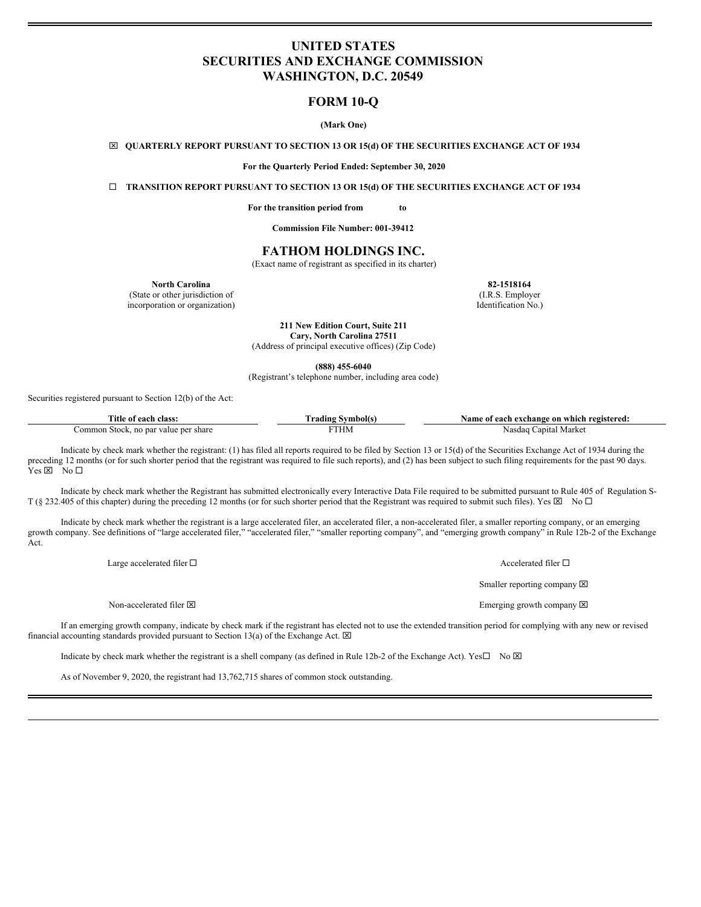# **UNITED STATES SECURITIES AND EXCHANGE COMMISSION WASHINGTON, D.C. 20549**

# **FORM 10-Q**

# **(Mark One)**

x **QUARTERLY REPORT PURSUANT TO SECTION 13 OR 15(d) OF THE SECURITIES EXCHANGE ACT OF 1934**

**For the Quarterly Period Ended: September 30, 2020**

¨ **TRANSITION REPORT PURSUANT TO SECTION 13 OR 15(d) OF THE SECURITIES EXCHANGE ACT OF 1934**

**For the transition period from to**

**Commission File Number: 001-39412**

# **FATHOM HOLDINGS INC.**

(Exact name of registrant as specified in its charter)

**North Carolina 82-1518164**

(State or other jurisdiction of (I.R.S. Employer incorporation or organization) Identification No.)

**211 New Edition Court, Suite 211 Cary, North Carolina 27511** (Address of principal executive offices) (Zip Code)

**(888) 455-6040**

(Registrant's telephone number, including area code)

Securities registered pursuant to Section 12(b) of the Act:

| Title.<br>class:<br>eacl                              | mbolt<br>adıng: | registered:<br>t each exchange on which .<br>Name<br>ու |
|-------------------------------------------------------|-----------------|---------------------------------------------------------|
| ommon<br>. no par value per share<br>Stock.<br>.<br>. | . H.M           | Nasdao<br>anita:<br>Markei<br>.                         |

Indicate by check mark whether the registrant: (1) has filed all reports required to be filed by Section 13 or 15(d) of the Securities Exchange Act of 1934 during the preceding 12 months (or for such shorter period that the registrant was required to file such reports), and (2) has been subject to such filing requirements for the past 90 days.  $Yes \boxtimes No \Box$ 

Indicate by check mark whether the Registrant has submitted electronically every Interactive Data File required to be submitted pursuant to Rule 405 of Regulation S-T (§ 232.405 of this chapter) during the preceding 12 months (or for such shorter period that the Registrant was required to submit such files). Yes  $\boxtimes$  No  $\Box$ 

Indicate by check mark whether the registrant is a large accelerated filer, an accelerated filer, a non-accelerated filer, a smaller reporting company, or an emerging growth company. See definitions of "large accelerated filer," "accelerated filer," "smaller reporting company", and "emerging growth company" in Rule 12b-2 of the Exchange Act.

Large accelerated filer  $\square$  Accelerated filer  $\square$ 

Non-accelerated filer  $\boxtimes$ 

Smaller reporting company  $\boxtimes$ 

Emerging growth company  $\boxtimes$ 

If an emerging growth company, indicate by check mark if the registrant has elected not to use the extended transition period for complying with any new or revised financial accounting standards provided pursuant to Section 13(a) of the Exchange Act.  $\boxtimes$ 

Indicate by check mark whether the registrant is a shell company (as defined in Rule 12b-2 of the Exchange Act). Yes $\square$  No  $\boxtimes$ 

As of November 9, 2020, the registrant had 13,762,715 shares of common stock outstanding.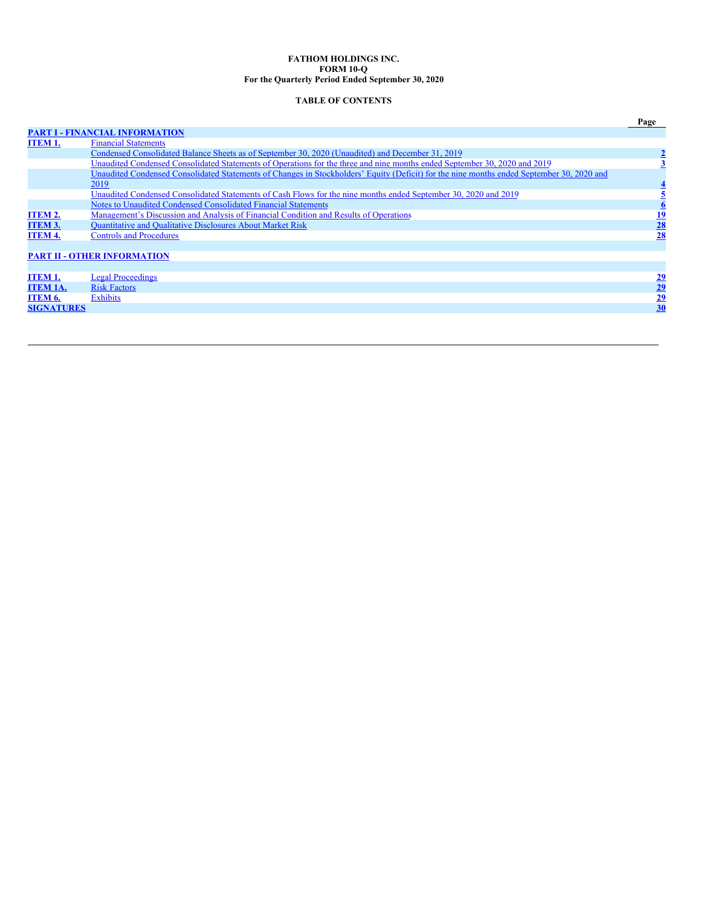# **FATHOM HOLDINGS INC. FORM 10-Q For the Quarterly Period Ended September 30, 2020**

# **TABLE OF CONTENTS**

|                   |                                                                                                                                           | Page            |
|-------------------|-------------------------------------------------------------------------------------------------------------------------------------------|-----------------|
|                   | <b>PART I - FINANCIAL INFORMATION</b>                                                                                                     |                 |
| ITEM 1.           | <b>Financial Statements</b>                                                                                                               |                 |
|                   | Condensed Consolidated Balance Sheets as of September 30, 2020 (Unaudited) and December 31, 2019                                          |                 |
|                   | Unaudited Condensed Consolidated Statements of Operations for the three and nine months ended September 30, 2020 and 2019                 |                 |
|                   | Unaudited Condensed Consolidated Statements of Changes in Stockholders' Equity (Deficit) for the nine months ended September 30, 2020 and |                 |
|                   | 2019                                                                                                                                      |                 |
|                   | Unaudited Condensed Consolidated Statements of Cash Flows for the nine months ended September 30, 2020 and 2019                           |                 |
|                   | Notes to Unaudited Condensed Consolidated Financial Statements                                                                            |                 |
| <b>ITEM 2.</b>    | Management's Discussion and Analysis of Financial Condition and Results of Operations                                                     |                 |
| <b>ITEM 3.</b>    | Quantitative and Qualitative Disclosures About Market Risk                                                                                | $\frac{19}{28}$ |
| <b>ITEM 4.</b>    | <b>Controls and Procedures</b>                                                                                                            | 28              |
|                   |                                                                                                                                           |                 |
|                   | <b>PART II - OTHER INFORMATION</b>                                                                                                        |                 |
|                   |                                                                                                                                           |                 |
| <b>ITEM 1.</b>    | <b>Legal Proceedings</b>                                                                                                                  |                 |
| <b>ITEM 1A.</b>   | <b>Risk Factors</b>                                                                                                                       | $\frac{29}{29}$ |
| ITEM 6.           | Exhibits                                                                                                                                  | $\frac{29}{30}$ |
| <b>SIGNATURES</b> |                                                                                                                                           |                 |
|                   |                                                                                                                                           |                 |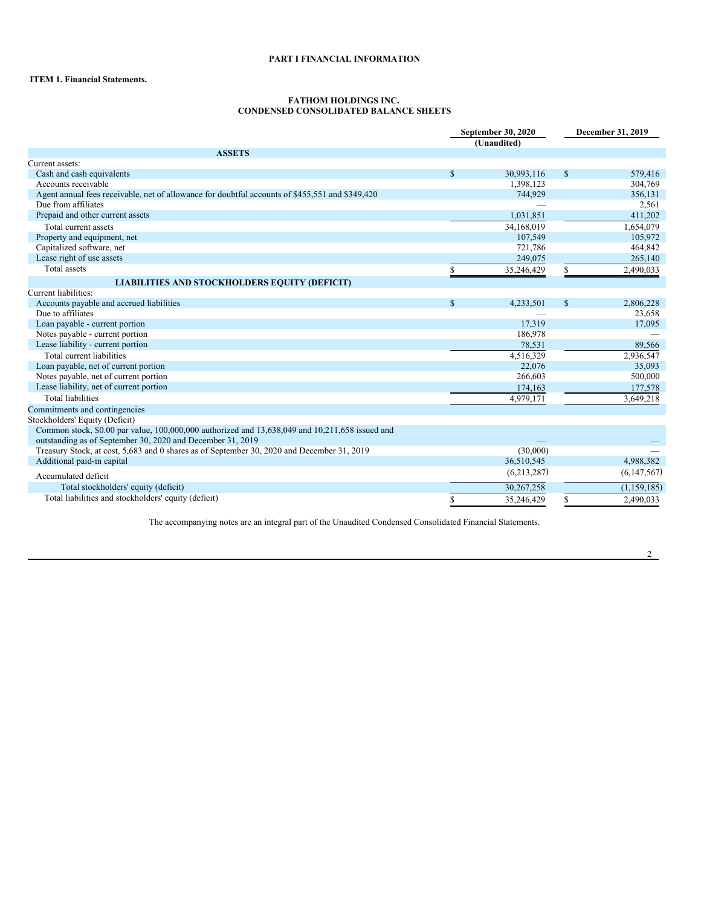# <span id="page-2-0"></span>**PART I FINANCIAL INFORMATION**

# <span id="page-2-1"></span>**ITEM 1. Financial Statements.**

#### <span id="page-2-2"></span>**FATHOM HOLDINGS INC. CONDENSED CONSOLIDATED BALANCE SHEETS**

|                                                                                                                                                               | September 30, 2020<br>(Unaudited) |             |              | December 31, 2019 |
|---------------------------------------------------------------------------------------------------------------------------------------------------------------|-----------------------------------|-------------|--------------|-------------------|
| <b>ASSETS</b>                                                                                                                                                 |                                   |             |              |                   |
| Current assets:                                                                                                                                               |                                   |             |              |                   |
| Cash and cash equivalents                                                                                                                                     | $\mathbf S$                       | 30,993,116  | $\mathbb{S}$ | 579,416           |
| Accounts receivable                                                                                                                                           |                                   | 1,398,123   |              | 304,769           |
| Agent annual fees receivable, net of allowance for doubtful accounts of \$455,551 and \$349,420                                                               |                                   | 744,929     |              | 356,131           |
| Due from affiliates                                                                                                                                           |                                   |             |              | 2,561             |
| Prepaid and other current assets                                                                                                                              |                                   | 1,031,851   |              | 411,202           |
| Total current assets                                                                                                                                          |                                   | 34,168,019  |              | 1,654,079         |
| Property and equipment, net                                                                                                                                   |                                   | 107,549     |              | 105,972           |
| Capitalized software, net                                                                                                                                     |                                   | 721,786     |              | 464,842           |
| Lease right of use assets                                                                                                                                     |                                   | 249,075     |              | 265,140           |
| Total assets                                                                                                                                                  | \$                                | 35,246,429  | \$           | 2,490,033         |
| <b>LIABILITIES AND STOCKHOLDERS EQUITY (DEFICIT)</b>                                                                                                          |                                   |             |              |                   |
| Current liabilities:                                                                                                                                          |                                   |             |              |                   |
| Accounts payable and accrued liabilities                                                                                                                      | $\mathbf S$                       | 4,233,501   | $\mathbb{S}$ | 2,806,228         |
| Due to affiliates                                                                                                                                             |                                   |             |              | 23,658            |
| Loan payable - current portion                                                                                                                                |                                   | 17.319      |              | 17,095            |
| Notes payable - current portion                                                                                                                               |                                   | 186,978     |              |                   |
| Lease liability - current portion                                                                                                                             |                                   | 78,531      |              | 89,566            |
| Total current liabilities                                                                                                                                     |                                   | 4,516,329   |              | 2,936,547         |
| Loan payable, net of current portion                                                                                                                          |                                   | 22,076      |              | 35,093            |
| Notes payable, net of current portion                                                                                                                         |                                   | 266,603     |              | 500,000           |
| Lease liability, net of current portion                                                                                                                       |                                   | 174,163     |              | 177,578           |
| <b>Total liabilities</b>                                                                                                                                      |                                   | 4,979,171   |              | 3,649,218         |
| Commitments and contingencies                                                                                                                                 |                                   |             |              |                   |
| Stockholders' Equity (Deficit)                                                                                                                                |                                   |             |              |                   |
| Common stock, \$0.00 par value, 100,000,000 authorized and 13,638,049 and 10,211,658 issued and<br>outstanding as of September 30, 2020 and December 31, 2019 |                                   |             |              |                   |
| Treasury Stock, at cost, 5,683 and 0 shares as of September 30, 2020 and December 31, 2019                                                                    |                                   | (30,000)    |              |                   |
| Additional paid-in capital                                                                                                                                    |                                   | 36,510,545  |              | 4,988,382         |
| Accumulated deficit                                                                                                                                           |                                   | (6,213,287) |              | (6,147,567)       |
| Total stockholders' equity (deficit)                                                                                                                          |                                   | 30.267.258  |              | (1, 159, 185)     |
| Total liabilities and stockholders' equity (deficit)                                                                                                          |                                   |             |              |                   |
|                                                                                                                                                               | \$                                | 35,246,429  | \$           | 2,490,033         |

The accompanying notes are an integral part of the Unaudited Condensed Consolidated Financial Statements.

2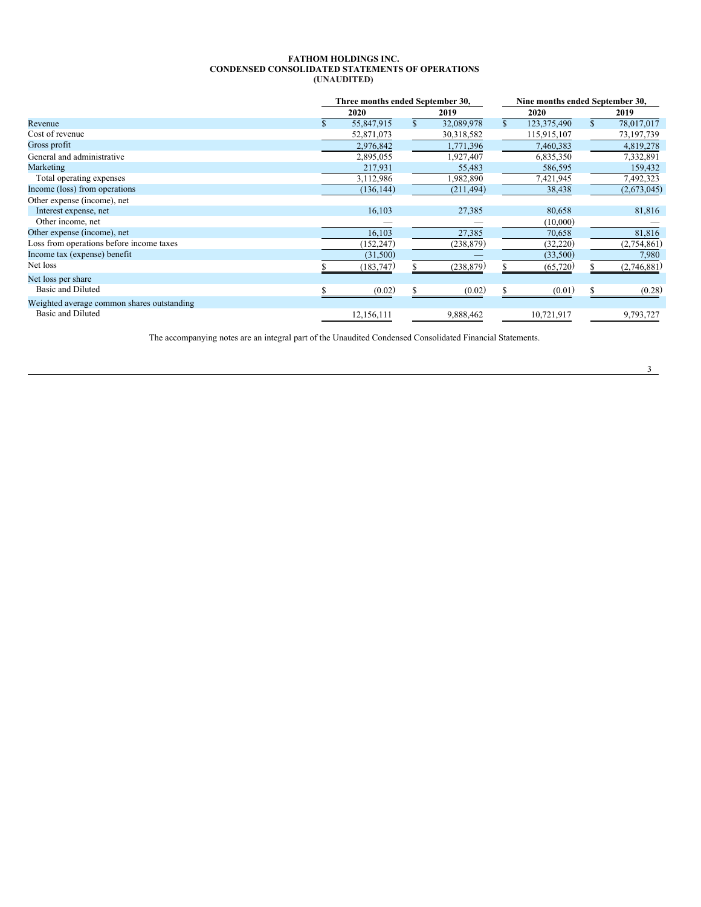### <span id="page-3-0"></span>**FATHOM HOLDINGS INC. CONDENSED CONSOLIDATED STATEMENTS OF OPERATIONS (UNAUDITED)**

|                                            | Three months ended September 30, |              |            |                   | Nine months ended September 30, |             |
|--------------------------------------------|----------------------------------|--------------|------------|-------------------|---------------------------------|-------------|
|                                            | 2020                             |              | 2019       | 2020              |                                 | 2019        |
| Revenue                                    | 55,847,915                       | $\mathbf{s}$ | 32,089,978 | \$<br>123,375,490 | $\mathbb{S}$                    | 78,017,017  |
| Cost of revenue                            | 52,871,073                       |              | 30,318,582 | 115,915,107       |                                 | 73,197,739  |
| Gross profit                               | 2,976,842                        |              | 1,771,396  | 7,460,383         |                                 | 4,819,278   |
| General and administrative                 | 2,895,055                        |              | 1,927,407  | 6,835,350         |                                 | 7,332,891   |
| Marketing                                  | 217,931                          |              | 55,483     | 586,595           |                                 | 159,432     |
| Total operating expenses                   | 3,112,986                        |              | 1,982,890  | 7,421,945         |                                 | 7,492,323   |
| Income (loss) from operations              | (136, 144)                       |              | (211, 494) | 38,438            |                                 | (2,673,045) |
| Other expense (income), net                |                                  |              |            |                   |                                 |             |
| Interest expense, net                      | 16,103                           |              | 27,385     | 80,658            |                                 | 81,816      |
| Other income, net                          |                                  |              |            | (10,000)          |                                 |             |
| Other expense (income), net                | 16,103                           |              | 27,385     | 70,658            |                                 | 81,816      |
| Loss from operations before income taxes   | (152, 247)                       |              | (238,879)  | (32, 220)         |                                 | (2,754,861) |
| Income tax (expense) benefit               | (31,500)                         |              |            | (33,500)          |                                 | 7,980       |
| Net loss                                   | (183, 747)                       |              | (238, 879) | (65, 720)         |                                 | (2,746,881) |
| Net loss per share                         |                                  |              |            |                   |                                 |             |
| Basic and Diluted                          | (0.02)                           |              | (0.02)     | (0.01)            |                                 | (0.28)      |
| Weighted average common shares outstanding |                                  |              |            |                   |                                 |             |
| Basic and Diluted                          | 12,156,111                       |              | 9,888,462  | 10,721,917        |                                 | 9,793,727   |

The accompanying notes are an integral part of the Unaudited Condensed Consolidated Financial Statements.

3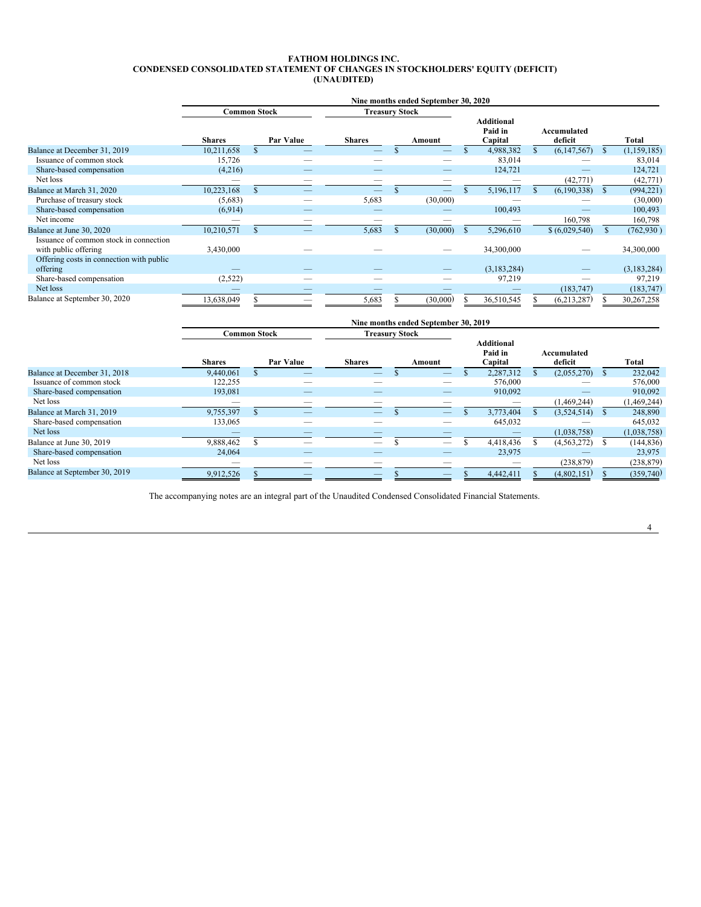### <span id="page-4-0"></span>**FATHOM HOLDINGS INC. CONDENSED CONSOLIDATED STATEMENT OF CHANGES IN STOCKHOLDERS' EQUITY (DEFICIT) (UNAUDITED)**

|                                                                | Nine months ended September 30, 2020 |     |           |                       |          |          |  |                                         |  |                        |              |             |
|----------------------------------------------------------------|--------------------------------------|-----|-----------|-----------------------|----------|----------|--|-----------------------------------------|--|------------------------|--------------|-------------|
|                                                                | <b>Common Stock</b>                  |     |           | <b>Treasury Stock</b> |          |          |  |                                         |  |                        |              |             |
|                                                                | <b>Shares</b>                        |     | Par Value | <b>Shares</b>         |          | Amount   |  | <b>Additional</b><br>Paid in<br>Capital |  | Accumulated<br>deficit |              | Total       |
| Balance at December 31, 2019                                   | 10,211,658                           |     |           |                       |          |          |  | 4,988,382                               |  | (6,147,567)            | <sup>S</sup> | (1,159,185) |
| Issuance of common stock                                       | 15,726                               |     |           |                       |          |          |  | 83,014                                  |  |                        |              | 83,014      |
| Share-based compensation                                       | (4,216)                              |     |           |                       |          |          |  | 124,721                                 |  |                        |              | 124,721     |
| Net loss                                                       |                                      |     |           |                       |          |          |  |                                         |  | (42, 771)              |              | (42, 771)   |
| Balance at March 31, 2020                                      | 10,223,168                           |     |           |                       |          |          |  | 5,196,117                               |  | (6,190,338)            | - \$         | (994, 221)  |
| Purchase of treasury stock                                     | (5,683)                              |     |           | 5,683                 |          | (30,000) |  |                                         |  |                        |              | (30,000)    |
| Share-based compensation                                       | (6,914)                              |     |           |                       |          |          |  | 100,493                                 |  |                        |              | 100,493     |
| Net income                                                     |                                      |     |           |                       |          |          |  |                                         |  | 160,798                |              | 160,798     |
| Balance at June 30, 2020                                       | 10,210,571                           | \$. |           | 5,683                 | <b>S</b> | (30,000) |  | 5,296,610                               |  | \$ (6,029,540)         | \$           | (762, 930)  |
| Issuance of common stock in connection<br>with public offering | 3,430,000                            |     |           |                       |          |          |  | 34,300,000                              |  |                        |              | 34,300,000  |
| Offering costs in connection with public<br>offering           |                                      |     |           |                       |          |          |  | (3,183,284)                             |  |                        |              | (3,183,284) |
| Share-based compensation                                       | (2,522)                              |     |           |                       |          |          |  | 97,219                                  |  |                        |              | 97,219      |
| Net loss                                                       |                                      |     |           |                       |          |          |  |                                         |  | (183, 747)             |              | (183, 747)  |
| Balance at September 30, 2020                                  | 13,638,049                           |     |           | 5,683                 |          | (30,000) |  | 36,510,545                              |  | (6,213,287)            |              | 30,267,258  |

|                               |                     |           |                       | Nine months ended September 30, 2019 |                                         |                        |               |
|-------------------------------|---------------------|-----------|-----------------------|--------------------------------------|-----------------------------------------|------------------------|---------------|
|                               | <b>Common Stock</b> |           | <b>Treasury Stock</b> |                                      |                                         |                        |               |
|                               | <b>Shares</b>       | Par Value | <b>Shares</b>         | Amount                               | <b>Additional</b><br>Paid in<br>Capital | Accumulated<br>deficit | Total         |
| Balance at December 31, 2018  | 9.440.061           |           |                       |                                      | 2,287,312                               | (2,055,270)            | 232,042       |
| Issuance of common stock      | 122,255             |           |                       |                                      | 576,000                                 |                        | 576,000       |
| Share-based compensation      | 193,081             |           |                       |                                      | 910,092                                 |                        | 910,092       |
| Net loss                      |                     |           |                       |                                      |                                         | (1,469,244)            | (1, 469, 244) |
| Balance at March 31, 2019     | 9,755,397           | __        |                       | –                                    | 3,773,404                               | $(3,524,514)$ \$       | 248,890       |
| Share-based compensation      | 133,065             |           |                       |                                      | 645,032                                 |                        | 645,032       |
| Net loss                      |                     |           |                       |                                      |                                         | (1,038,758)            | (1,038,758)   |
| Balance at June 30, 2019      | 9,888,462           |           |                       | --                                   | 4,418,436                               | (4, 563, 272)          | (144, 836)    |
| Share-based compensation      | 24,064              |           |                       |                                      | 23,975                                  |                        | 23,975        |
| Net loss                      | __                  |           |                       |                                      |                                         | (238, 879)             | (238, 879)    |
| Balance at September 30, 2019 | 9,912,526           |           |                       |                                      | 4,442,411                               | (4,802,151)            | (359,740)     |

The accompanying notes are an integral part of the Unaudited Condensed Consolidated Financial Statements.

4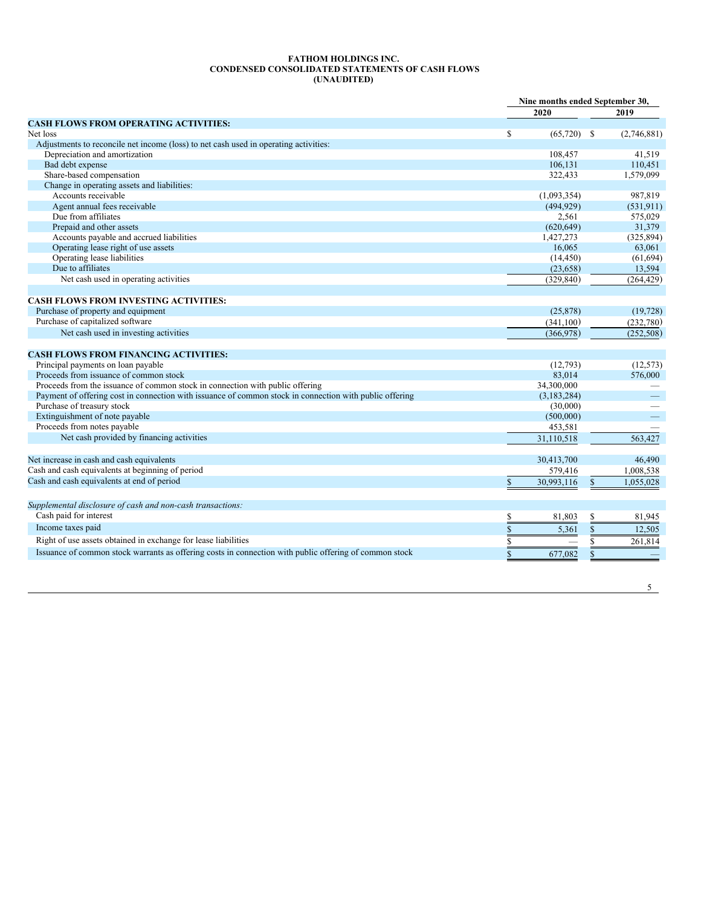# <span id="page-5-0"></span>**FATHOM HOLDINGS INC. CONDENSED CONSOLIDATED STATEMENTS OF CASH FLOWS (UNAUDITED)**

|                                                                                                         | Nine months ended September 30, |               |              |             |
|---------------------------------------------------------------------------------------------------------|---------------------------------|---------------|--------------|-------------|
|                                                                                                         |                                 | 2020          |              | 2019        |
| <b>CASH FLOWS FROM OPERATING ACTIVITIES:</b>                                                            |                                 |               |              |             |
| Net loss                                                                                                | $\mathbb{S}$                    | $(65,720)$ \$ |              | (2,746,881) |
| Adjustments to reconcile net income (loss) to net cash used in operating activities:                    |                                 |               |              |             |
| Depreciation and amortization                                                                           |                                 | 108,457       |              | 41,519      |
| Bad debt expense                                                                                        |                                 | 106.131       |              | 110.451     |
| Share-based compensation                                                                                |                                 | 322,433       |              | 1,579,099   |
| Change in operating assets and liabilities:                                                             |                                 |               |              |             |
| Accounts receivable                                                                                     |                                 | (1,093,354)   |              | 987,819     |
| Agent annual fees receivable                                                                            |                                 | (494, 929)    |              | (531, 911)  |
| Due from affiliates                                                                                     |                                 | 2,561         |              | 575,029     |
| Prepaid and other assets                                                                                |                                 | (620, 649)    |              | 31,379      |
| Accounts payable and accrued liabilities                                                                |                                 | 1,427,273     |              | (325, 894)  |
| Operating lease right of use assets                                                                     |                                 | 16.065        |              | 63,061      |
| Operating lease liabilities                                                                             |                                 | (14, 450)     |              | (61, 694)   |
| Due to affiliates                                                                                       |                                 | (23, 658)     |              | 13,594      |
| Net cash used in operating activities                                                                   |                                 | (329, 840)    |              | (264, 429)  |
|                                                                                                         |                                 |               |              |             |
| <b>CASH FLOWS FROM INVESTING ACTIVITIES:</b>                                                            |                                 |               |              |             |
| Purchase of property and equipment                                                                      |                                 | (25, 878)     |              | (19, 728)   |
| Purchase of capitalized software                                                                        |                                 | (341, 100)    |              | (232,780)   |
| Net cash used in investing activities                                                                   |                                 | (366,978)     |              | (252, 508)  |
|                                                                                                         |                                 |               |              |             |
| <b>CASH FLOWS FROM FINANCING ACTIVITIES:</b>                                                            |                                 |               |              |             |
| Principal payments on loan payable                                                                      |                                 | (12,793)      |              | (12, 573)   |
| Proceeds from issuance of common stock                                                                  |                                 | 83,014        |              | 576,000     |
| Proceeds from the issuance of common stock in connection with public offering                           |                                 | 34,300,000    |              |             |
| Payment of offering cost in connection with issuance of common stock in connection with public offering |                                 | (3, 183, 284) |              |             |
| Purchase of treasury stock                                                                              |                                 | (30,000)      |              |             |
| Extinguishment of note payable                                                                          |                                 | (500,000)     |              |             |
| Proceeds from notes payable                                                                             |                                 | 453,581       |              |             |
| Net cash provided by financing activities                                                               |                                 | 31.110.518    |              | 563,427     |
|                                                                                                         |                                 |               |              |             |
| Net increase in cash and cash equivalents                                                               |                                 | 30,413,700    |              | 46,490      |
| Cash and cash equivalents at beginning of period                                                        |                                 | 579,416       |              | 1,008,538   |
| Cash and cash equivalents at end of period                                                              | $\mathbb{S}$                    | 30,993,116    | $\mathbf S$  | 1,055,028   |
|                                                                                                         |                                 |               |              |             |
|                                                                                                         |                                 |               |              |             |
| Supplemental disclosure of cash and non-cash transactions:                                              |                                 |               |              |             |
| Cash paid for interest                                                                                  | \$                              | 81,803        | \$           | 81,945      |
| Income taxes paid                                                                                       | $\overline{\overline{s}}$       | 5,361         | $\mathbf{s}$ | 12.505      |
| Right of use assets obtained in exchange for lease liabilities                                          | S                               |               | S            | 261,814     |
| Issuance of common stock warrants as offering costs in connection with public offering of common stock  | $\mathbf S$                     | 677,082       | $\mathbb{S}$ |             |
|                                                                                                         |                                 |               |              |             |
|                                                                                                         |                                 |               |              |             |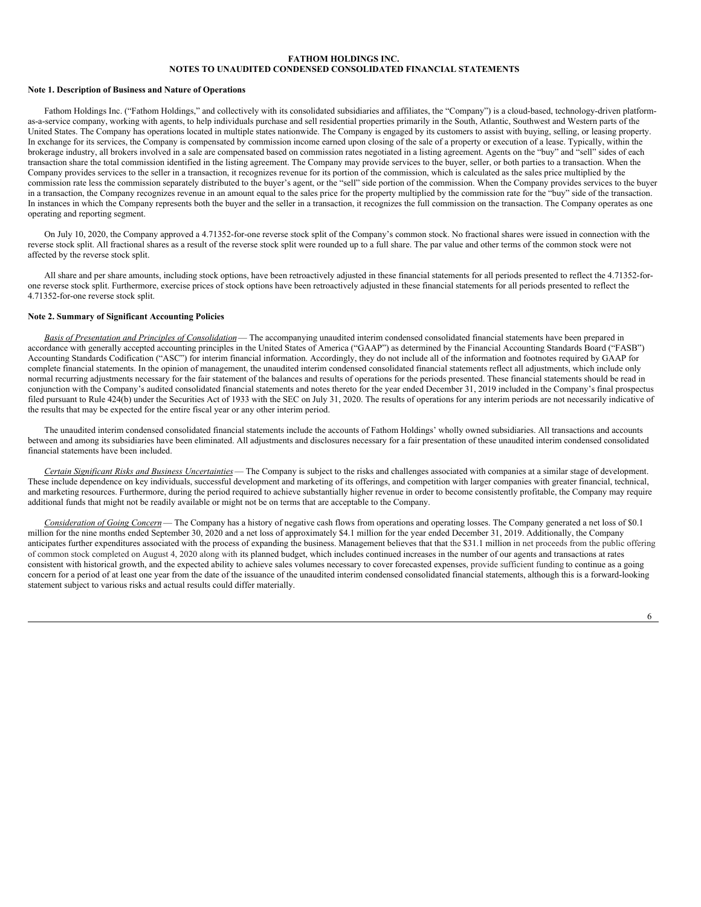### <span id="page-6-0"></span>**Note 1. Description of Business and Nature of Operations**

Fathom Holdings Inc. ("Fathom Holdings," and collectively with its consolidated subsidiaries and affiliates, the "Company") is a cloud-based, technology-driven platformas-a-service company, working with agents, to help individuals purchase and sell residential properties primarily in the South, Atlantic, Southwest and Western parts of the United States. The Company has operations located in multiple states nationwide. The Company is engaged by its customers to assist with buying, selling, or leasing property. In exchange for its services, the Company is compensated by commission income earned upon closing of the sale of a property or execution of a lease. Typically, within the brokerage industry, all brokers involved in a sale are compensated based on commission rates negotiated in a listing agreement. Agents on the "buy" and "sell" sides of each transaction share the total commission identified in the listing agreement. The Company may provide services to the buyer, seller, or both parties to a transaction. When the Company provides services to the seller in a transaction, it recognizes revenue for its portion of the commission, which is calculated as the sales price multiplied by the commission rate less the commission separately distributed to the buyer's agent, or the "sell" side portion of the commission. When the Company provides services to the buyer in a transaction, the Company recognizes revenue in an amount equal to the sales price for the property multiplied by the commission rate for the "buy" side of the transaction. In instances in which the Company represents both the buyer and the seller in a transaction, it recognizes the full commission on the transaction. The Company operates as one operating and reporting segment.

On July 10, 2020, the Company approved a 4.71352-for-one reverse stock split of the Company's common stock. No fractional shares were issued in connection with the reverse stock split. All fractional shares as a result of the reverse stock split were rounded up to a full share. The par value and other terms of the common stock were not affected by the reverse stock split.

All share and per share amounts, including stock options, have been retroactively adjusted in these financial statements for all periods presented to reflect the 4.71352-forone reverse stock split. Furthermore, exercise prices of stock options have been retroactively adjusted in these financial statements for all periods presented to reflect the 4.71352-for-one reverse stock split.

# **Note 2. Summary of Significant Accounting Policies**

*Basis of Presentation and Principles of Consolidation*— The accompanying unaudited interim condensed consolidated financial statements have been prepared in accordance with generally accepted accounting principles in the United States of America ("GAAP") as determined by the Financial Accounting Standards Board ("FASB") Accounting Standards Codification ("ASC") for interim financial information. Accordingly, they do not include all of the information and footnotes required by GAAP for complete financial statements. In the opinion of management, the unaudited interim condensed consolidated financial statements reflect all adjustments, which include only normal recurring adjustments necessary for the fair statement of the balances and results of operations for the periods presented. These financial statements should be read in conjunction with the Company's audited consolidated financial statements and notes thereto for the year ended December 31, 2019 included in the Company's final prospectus filed pursuant to Rule 424(b) under the Securities Act of 1933 with the SEC on July 31, 2020. The results of operations for any interim periods are not necessarily indicative of the results that may be expected for the entire fiscal year or any other interim period.

The unaudited interim condensed consolidated financial statements include the accounts of Fathom Holdings' wholly owned subsidiaries. All transactions and accounts between and among its subsidiaries have been eliminated. All adjustments and disclosures necessary for a fair presentation of these unaudited interim condensed consolidated financial statements have been included.

*Certain Significant Risks and Business Uncertainties*— The Company is subject to the risks and challenges associated with companies at a similar stage of development. These include dependence on key individuals, successful development and marketing of its offerings, and competition with larger companies with greater financial, technical, and marketing resources. Furthermore, during the period required to achieve substantially higher revenue in order to become consistently profitable, the Company may require additional funds that might not be readily available or might not be on terms that are acceptable to the Company.

*Consideration of Going Concern*— The Company has a history of negative cash flows from operations and operating losses. The Company generated a net loss of \$0.1 million for the nine months ended September 30, 2020 and a net loss of approximately \$4.1 million for the year ended December 31, 2019. Additionally, the Company anticipates further expenditures associated with the process of expanding the business. Management believes that that the \$31.1 million in net proceeds from the public offering of common stock completed on August 4, 2020 along with its planned budget, which includes continued increases in the number of our agents and transactions at rates consistent with historical growth, and the expected ability to achieve sales volumes necessary to cover forecasted expenses, provide sufficient funding to continue as a going concern for a period of at least one year from the date of the issuance of the unaudited interim condensed consolidated financial statements, although this is a forward-looking statement subject to various risks and actual results could differ materially.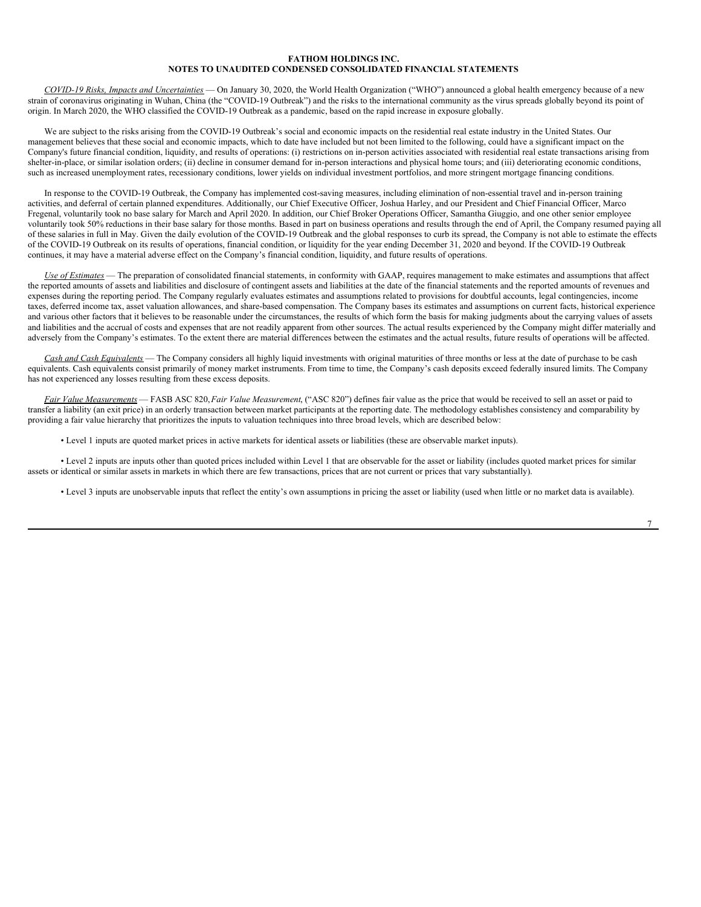*COVID-19 Risks, Impacts and Uncertainties* — On January 30, 2020, the World Health Organization ("WHO") announced a global health emergency because of a new strain of coronavirus originating in Wuhan, China (the "COVID-19 Outbreak") and the risks to the international community as the virus spreads globally beyond its point of origin. In March 2020, the WHO classified the COVID-19 Outbreak as a pandemic, based on the rapid increase in exposure globally.

We are subject to the risks arising from the COVID-19 Outbreak's social and economic impacts on the residential real estate industry in the United States. Our management believes that these social and economic impacts, which to date have included but not been limited to the following, could have a significant impact on the Company's future financial condition, liquidity, and results of operations: (i) restrictions on in-person activities associated with residential real estate transactions arising from shelter-in-place, or similar isolation orders; (ii) decline in consumer demand for in-person interactions and physical home tours; and (iii) deteriorating economic conditions, such as increased unemployment rates, recessionary conditions, lower yields on individual investment portfolios, and more stringent mortgage financing conditions.

In response to the COVID-19 Outbreak, the Company has implemented cost-saving measures, including elimination of non-essential travel and in-person training activities, and deferral of certain planned expenditures. Additionally, our Chief Executive Officer, Joshua Harley, and our President and Chief Financial Officer, Marco Fregenal, voluntarily took no base salary for March and April 2020. In addition, our Chief Broker Operations Officer, Samantha Giuggio, and one other senior employee voluntarily took 50% reductions in their base salary for those months. Based in part on business operations and results through the end of April, the Company resumed paying all of these salaries in full in May. Given the daily evolution of the COVID-19 Outbreak and the global responses to curb its spread, the Company is not able to estimate the effects of the COVID-19 Outbreak on its results of operations, financial condition, or liquidity for the year ending December 31, 2020 and beyond. If the COVID-19 Outbreak continues, it may have a material adverse effect on the Company's financial condition, liquidity, and future results of operations.

*Use of Estimates* — The preparation of consolidated financial statements, in conformity with GAAP, requires management to make estimates and assumptions that affect the reported amounts of assets and liabilities and disclosure of contingent assets and liabilities at the date of the financial statements and the reported amounts of revenues and expenses during the reporting period. The Company regularly evaluates estimates and assumptions related to provisions for doubtful accounts, legal contingencies, income taxes, deferred income tax, asset valuation allowances, and share-based compensation. The Company bases its estimates and assumptions on current facts, historical experience and various other factors that it believes to be reasonable under the circumstances, the results of which form the basis for making judgments about the carrying values of assets and liabilities and the accrual of costs and expenses that are not readily apparent from other sources. The actual results experienced by the Company might differ materially and adversely from the Company's estimates. To the extent there are material differences between the estimates and the actual results, future results of operations will be affected.

*Cash and Cash Equivalents* — The Company considers all highly liquid investments with original maturities of three months or less at the date of purchase to be cash equivalents. Cash equivalents consist primarily of money market instruments. From time to time, the Company's cash deposits exceed federally insured limits. The Company has not experienced any losses resulting from these excess deposits.

*Fair Value Measurements* — FASB ASC 820,*Fair Value Measurement*, ("ASC 820") defines fair value as the price that would be received to sell an asset or paid to transfer a liability (an exit price) in an orderly transaction between market participants at the reporting date. The methodology establishes consistency and comparability by providing a fair value hierarchy that prioritizes the inputs to valuation techniques into three broad levels, which are described below:

• Level 1 inputs are quoted market prices in active markets for identical assets or liabilities (these are observable market inputs).

• Level 2 inputs are inputs other than quoted prices included within Level 1 that are observable for the asset or liability (includes quoted market prices for similar assets or identical or similar assets in markets in which there are few transactions, prices that are not current or prices that vary substantially).

• Level 3 inputs are unobservable inputs that reflect the entity's own assumptions in pricing the asset or liability (used when little or no market data is available).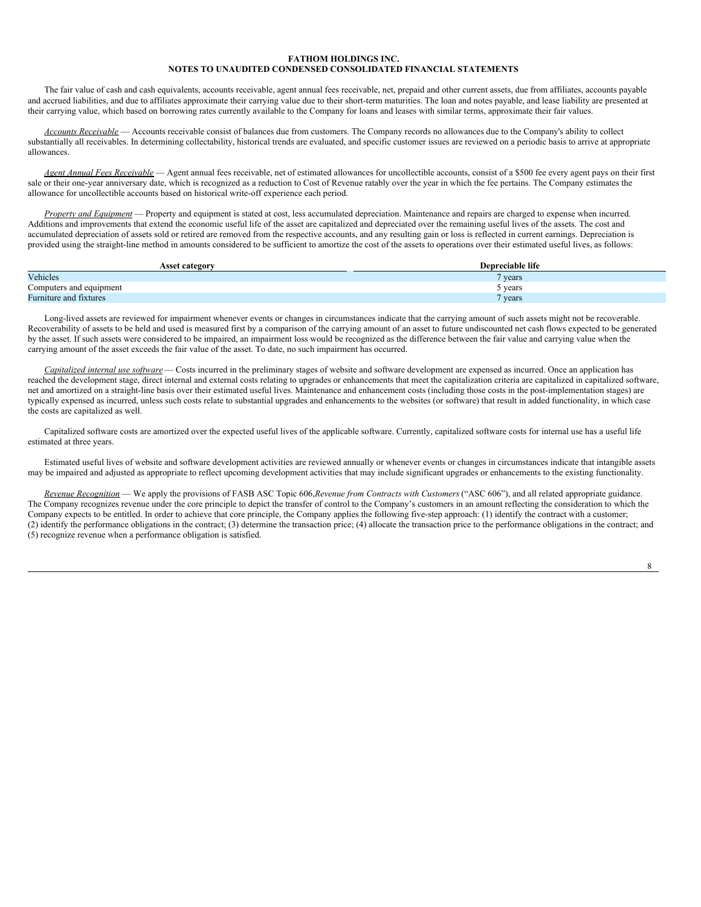The fair value of cash and cash equivalents, accounts receivable, agent annual fees receivable, net, prepaid and other current assets, due from affiliates, accounts payable and accrued liabilities, and due to affiliates approximate their carrying value due to their short-term maturities. The loan and notes payable, and lease liability are presented at their carrying value, which based on borrowing rates currently available to the Company for loans and leases with similar terms, approximate their fair values.

*Accounts Receivable* — Accounts receivable consist of balances due from customers. The Company records no allowances due to the Company's ability to collect substantially all receivables. In determining collectability, historical trends are evaluated, and specific customer issues are reviewed on a periodic basis to arrive at appropriate allowances.

*Agent Annual Fees Receivable* — Agent annual fees receivable, net of estimated allowances for uncollectible accounts, consist of a \$500 fee every agent pays on their first sale or their one-year anniversary date, which is recognized as a reduction to Cost of Revenue ratably over the year in which the fee pertains. The Company estimates the allowance for uncollectible accounts based on historical write-off experience each period.

*Property and Equipment* — Property and equipment is stated at cost, less accumulated depreciation. Maintenance and repairs are charged to expense when incurred. Additions and improvements that extend the economic useful life of the asset are capitalized and depreciated over the remaining useful lives of the assets. The cost and accumulated depreciation of assets sold or retired are removed from the respective accounts, and any resulting gain or loss is reflected in current earnings. Depreciation is provided using the straight-line method in amounts considered to be sufficient to amortize the cost of the assets to operations over their estimated useful lives, as follows:

| <b>Asset category</b>   | Depreciable life   |
|-------------------------|--------------------|
| Vehicles                | vears <sup>7</sup> |
| Computers and equipment | vears              |
| Furniture and fixtures  | vears              |

Long-lived assets are reviewed for impairment whenever events or changes in circumstances indicate that the carrying amount of such assets might not be recoverable. Recoverability of assets to be held and used is measured first by a comparison of the carrying amount of an asset to future undiscounted net cash flows expected to be generated by the asset. If such assets were considered to be impaired, an impairment loss would be recognized as the difference between the fair value and carrying value when the carrying amount of the asset exceeds the fair value of the asset. To date, no such impairment has occurred.

*Capitalized internal use software* — Costs incurred in the preliminary stages of website and software development are expensed as incurred. Once an application has reached the development stage, direct internal and external costs relating to upgrades or enhancements that meet the capitalization criteria are capitalized in capitalized software, net and amortized on a straight-line basis over their estimated useful lives. Maintenance and enhancement costs (including those costs in the post-implementation stages) are typically expensed as incurred, unless such costs relate to substantial upgrades and enhancements to the websites (or software) that result in added functionality, in which case the costs are capitalized as well.

Capitalized software costs are amortized over the expected useful lives of the applicable software. Currently, capitalized software costs for internal use has a useful life estimated at three years.

Estimated useful lives of website and software development activities are reviewed annually or whenever events or changes in circumstances indicate that intangible assets may be impaired and adjusted as appropriate to reflect upcoming development activities that may include significant upgrades or enhancements to the existing functionality.

*Revenue Recognition* — We apply the provisions of FASB ASC Topic 606,*Revenue from Contracts with Customers* ("ASC 606"), and all related appropriate guidance. The Company recognizes revenue under the core principle to depict the transfer of control to the Company's customers in an amount reflecting the consideration to which the Company expects to be entitled. In order to achieve that core principle, the Company applies the following five-step approach: (1) identify the contract with a customer; (2) identify the performance obligations in the contract; (3) determine the transaction price; (4) allocate the transaction price to the performance obligations in the contract; and (5) recognize revenue when a performance obligation is satisfied.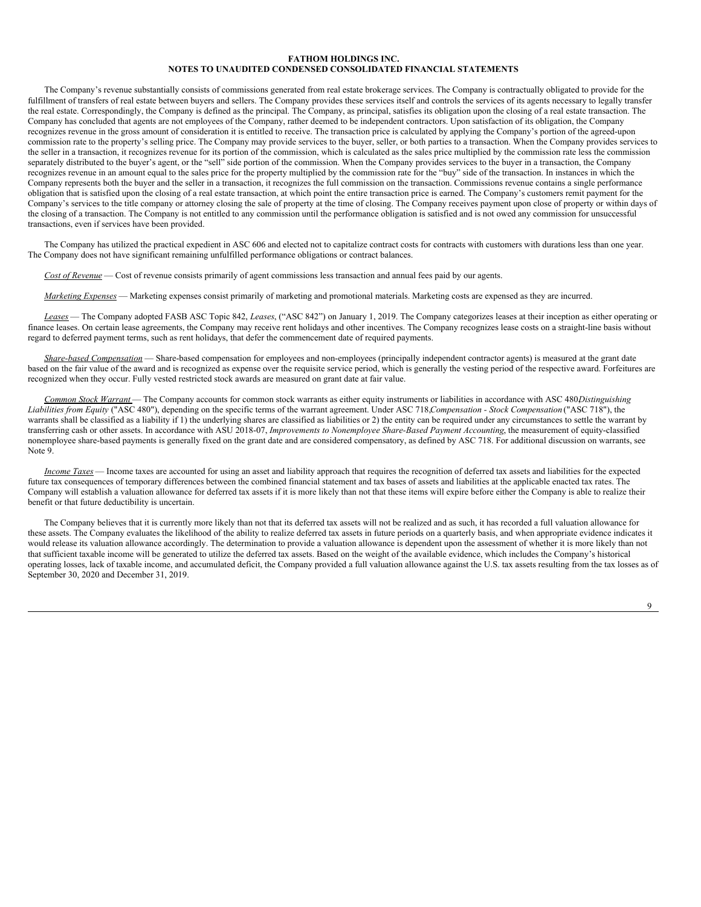The Company's revenue substantially consists of commissions generated from real estate brokerage services. The Company is contractually obligated to provide for the fulfillment of transfers of real estate between buyers and sellers. The Company provides these services itself and controls the services of its agents necessary to legally transfer the real estate. Correspondingly, the Company is defined as the principal. The Company, as principal, satisfies its obligation upon the closing of a real estate transaction. The Company has concluded that agents are not employees of the Company, rather deemed to be independent contractors. Upon satisfaction of its obligation, the Company recognizes revenue in the gross amount of consideration it is entitled to receive. The transaction price is calculated by applying the Company's portion of the agreed-upon commission rate to the property's selling price. The Company may provide services to the buyer, seller, or both parties to a transaction. When the Company provides services to the seller in a transaction, it recognizes revenue for its portion of the commission, which is calculated as the sales price multiplied by the commission rate less the commission separately distributed to the buyer's agent, or the "sell" side portion of the commission. When the Company provides services to the buyer in a transaction, the Company recognizes revenue in an amount equal to the sales price for the property multiplied by the commission rate for the "buy" side of the transaction. In instances in which the Company represents both the buyer and the seller in a transaction, it recognizes the full commission on the transaction. Commissions revenue contains a single performance obligation that is satisfied upon the closing of a real estate transaction, at which point the entire transaction price is earned. The Company's customers remit payment for the Company's services to the title company or attorney closing the sale of property at the time of closing. The Company receives payment upon close of property or within days of the closing of a transaction. The Company is not entitled to any commission until the performance obligation is satisfied and is not owed any commission for unsuccessful transactions, even if services have been provided.

The Company has utilized the practical expedient in ASC 606 and elected not to capitalize contract costs for contracts with customers with durations less than one year. The Company does not have significant remaining unfulfilled performance obligations or contract balances.

*Cost of Revenue* — Cost of revenue consists primarily of agent commissions less transaction and annual fees paid by our agents.

*Marketing Expenses* — Marketing expenses consist primarily of marketing and promotional materials. Marketing costs are expensed as they are incurred.

*Leases* — The Company adopted FASB ASC Topic 842, *Leases*, ("ASC 842") on January 1, 2019. The Company categorizes leases at their inception as either operating or finance leases. On certain lease agreements, the Company may receive rent holidays and other incentives. The Company recognizes lease costs on a straight-line basis without regard to deferred payment terms, such as rent holidays, that defer the commencement date of required payments.

*Share-based Compensation* — Share-based compensation for employees and non-employees (principally independent contractor agents) is measured at the grant date based on the fair value of the award and is recognized as expense over the requisite service period, which is generally the vesting period of the respective award. Forfeitures are recognized when they occur. Fully vested restricted stock awards are measured on grant date at fair value.

*Common Stock Warrant* — The Company accounts for common stock warrants as either equity instruments or liabilities in accordance with ASC 480,*Distinguishing Liabilities from Equity* ("ASC 480"), depending on the specific terms of the warrant agreement. Under ASC 718,*Compensation - Stock Compensation* ("ASC 718"), the warrants shall be classified as a liability if 1) the underlying shares are classified as liabilities or 2) the entity can be required under any circumstances to settle the warrant by transferring cash or other assets. In accordance with ASU 2018-07, *Improvements to Nonemployee Share-Based Payment Accounting*, the measurement of equity-classified nonemployee share-based payments is generally fixed on the grant date and are considered compensatory, as defined by ASC 718. For additional discussion on warrants, see Note 9.

*Income Taxes* — Income taxes are accounted for using an asset and liability approach that requires the recognition of deferred tax assets and liabilities for the expected future tax consequences of temporary differences between the combined financial statement and tax bases of assets and liabilities at the applicable enacted tax rates. The Company will establish a valuation allowance for deferred tax assets if it is more likely than not that these items will expire before either the Company is able to realize their benefit or that future deductibility is uncertain.

The Company believes that it is currently more likely than not that its deferred tax assets will not be realized and as such, it has recorded a full valuation allowance for these assets. The Company evaluates the likelihood of the ability to realize deferred tax assets in future periods on a quarterly basis, and when appropriate evidence indicates it would release its valuation allowance accordingly. The determination to provide a valuation allowance is dependent upon the assessment of whether it is more likely than not that sufficient taxable income will be generated to utilize the deferred tax assets. Based on the weight of the available evidence, which includes the Company's historical operating losses, lack of taxable income, and accumulated deficit, the Company provided a full valuation allowance against the U.S. tax assets resulting from the tax losses as of September 30, 2020 and December 31, 2019.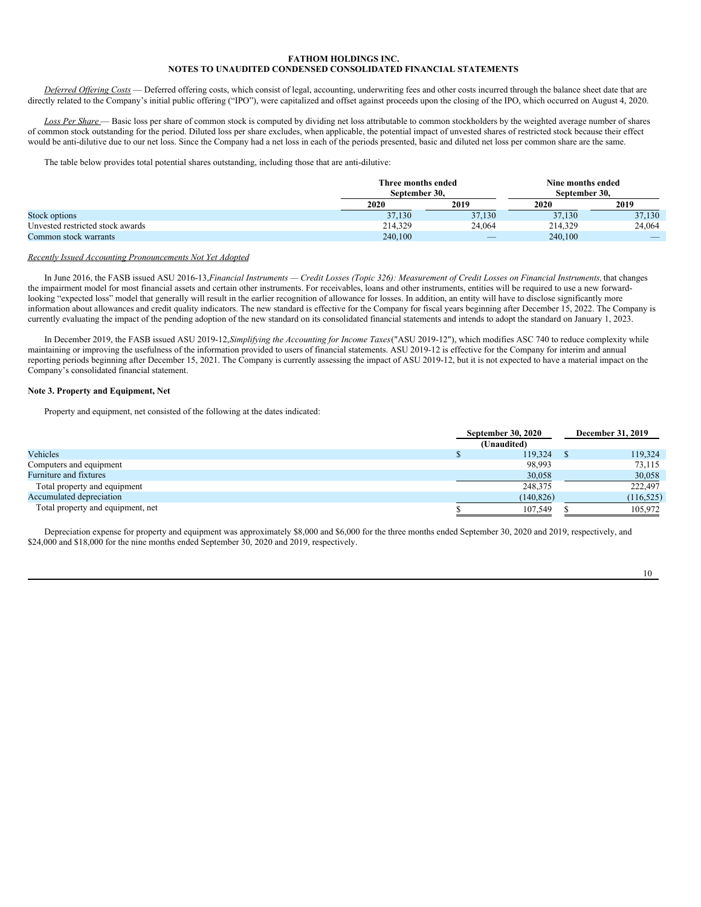*Deferred Of ering Costs* — Deferred offering costs, which consist of legal, accounting, underwriting fees and other costs incurred through the balance sheet date that are directly related to the Company's initial public offering ("IPO"), were capitalized and offset against proceeds upon the closing of the IPO, which occurred on August 4, 2020.

Loss Per Share — Basic loss per share of common stock is computed by dividing net loss attributable to common stockholders by the weighted average number of shares of common stock outstanding for the period. Diluted loss per share excludes, when applicable, the potential impact of unvested shares of restricted stock because their effect would be anti-dilutive due to our net loss. Since the Company had a net loss in each of the periods presented, basic and diluted net loss per common share are the same.

The table below provides total potential shares outstanding, including those that are anti-dilutive:

|                                  | Three months ended<br>September 30. |                          | Nine months ended<br>September 30. |                          |  |
|----------------------------------|-------------------------------------|--------------------------|------------------------------------|--------------------------|--|
|                                  | 2020                                | 2019                     | 2020                               | 2019                     |  |
| Stock options                    | 37,130                              | 37,130                   | 37.130                             | 37,130                   |  |
| Unvested restricted stock awards | 214,329                             | 24,064                   | 214.329                            | 24.064                   |  |
| Common stock warrants            | 240,100                             | $\overline{\phantom{a}}$ | 240,100                            | $\overline{\phantom{a}}$ |  |

### *Recently Issued Accounting Pronouncements Not Yet Adopted*

In June 2016, the FASB issued ASU 2016-13, Financial Instruments - Credit Losses (Topic 326): Measurement of Credit Losses on Financial Instruments, that changes the impairment model for most financial assets and certain other instruments. For receivables, loans and other instruments, entities will be required to use a new forwardlooking "expected loss" model that generally will result in the earlier recognition of allowance for losses. In addition, an entity will have to disclose significantly more information about allowances and credit quality indicators. The new standard is effective for the Company for fiscal years beginning after December 15, 2022. The Company is currently evaluating the impact of the pending adoption of the new standard on its consolidated financial statements and intends to adopt the standard on January 1, 2023.

In December 2019, the FASB issued ASU 2019-12,*Simplifying the Accounting for Income Taxes*("ASU 2019-12"), which modifies ASC 740 to reduce complexity while maintaining or improving the usefulness of the information provided to users of financial statements. ASU 2019-12 is effective for the Company for interim and annual reporting periods beginning after December 15, 2021. The Company is currently assessing the impact of ASU 2019-12, but it is not expected to have a material impact on the Company's consolidated financial statement.

### **Note 3. Property and Equipment, Net**

Property and equipment, net consisted of the following at the dates indicated:

|                                   | <b>September 30, 2020</b> | <b>December 31, 2019</b> |  |
|-----------------------------------|---------------------------|--------------------------|--|
|                                   | (Unaudited)               |                          |  |
| Vehicles                          | 119,324                   | 119,324                  |  |
| Computers and equipment           | 98,993                    | 73,115                   |  |
| <b>Furniture and fixtures</b>     | 30,058                    | 30,058                   |  |
| Total property and equipment      | 248,375                   | 222,497                  |  |
| Accumulated depreciation          | (140, 826)                | (116, 525)               |  |
| Total property and equipment, net | 107,549                   | 105,972                  |  |

Depreciation expense for property and equipment was approximately \$8,000 and \$6,000 for the three months ended September 30, 2020 and 2019, respectively, and \$24,000 and \$18,000 for the nine months ended September 30, 2020 and 2019, respectively.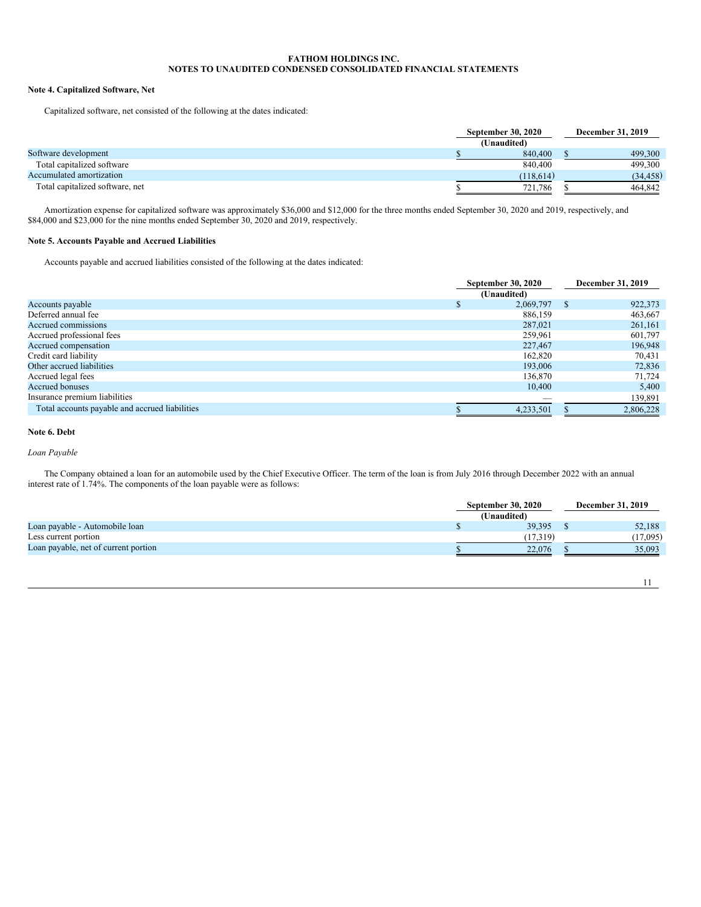# **Note 4. Capitalized Software, Net**

Capitalized software, net consisted of the following at the dates indicated:

|                                 | <b>September 30, 2020</b> | December 31, 2019 |
|---------------------------------|---------------------------|-------------------|
|                                 | (Unaudited)               |                   |
| Software development            | 840,400                   | 499,300           |
| Total capitalized software      | 840,400                   | 499.300           |
| Accumulated amortization        | (118,614)                 | (34, 458)         |
| Total capitalized software, net | 721.786                   | 464,842           |

Amortization expense for capitalized software was approximately \$36,000 and \$12,000 for the three months ended September 30, 2020 and 2019, respectively, and \$84,000 and \$23,000 for the nine months ended September 30, 2020 and 2019, respectively.

# **Note 5. Accounts Payable and Accrued Liabilities**

Accounts payable and accrued liabilities consisted of the following at the dates indicated:

|                                                | <b>September 30, 2020</b> |    | <b>December 31, 2019</b> |
|------------------------------------------------|---------------------------|----|--------------------------|
|                                                | (Unaudited)               |    |                          |
| Accounts payable                               | 2,069,797                 | -S | 922,373                  |
| Deferred annual fee                            | 886,159                   |    | 463,667                  |
| Accrued commissions                            | 287,021                   |    | 261,161                  |
| Accrued professional fees                      | 259,961                   |    | 601,797                  |
| Accrued compensation                           | 227,467                   |    | 196,948                  |
| Credit card liability                          | 162,820                   |    | 70,431                   |
| Other accrued liabilities                      | 193,006                   |    | 72,836                   |
| Accrued legal fees                             | 136,870                   |    | 71,724                   |
| <b>Accrued bonuses</b>                         | 10,400                    |    | 5,400                    |
| Insurance premium liabilities                  |                           |    | 139,891                  |
| Total accounts payable and accrued liabilities | 4,233,501                 |    | 2,806,228                |

# **Note 6. Debt**

*Loan Payable*

The Company obtained a loan for an automobile used by the Chief Executive Officer. The term of the loan is from July 2016 through December 2022 with an annual interest rate of 1.74%. The components of the loan payable were as follows:

|                                      | <b>September 30, 2020</b> |             | <b>December 31, 2019</b> |          |
|--------------------------------------|---------------------------|-------------|--------------------------|----------|
|                                      |                           | (Unaudited) |                          |          |
| Loan payable - Automobile loan       |                           | 39.395      |                          | 52,188   |
| Less current portion                 |                           | (17.319)    |                          | (17,095) |
| Loan payable, net of current portion |                           | 22,076      |                          | 35.093   |
|                                      |                           |             |                          |          |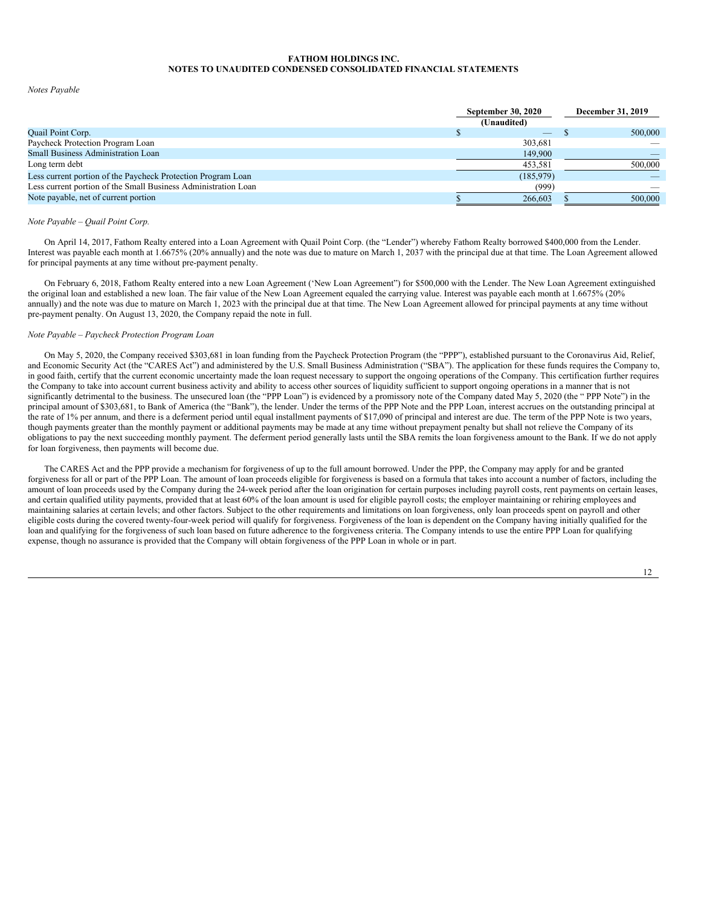### *Notes Payable*

|                                                                | <b>September 30, 2020</b> |                          | December 31, 2019 |         |
|----------------------------------------------------------------|---------------------------|--------------------------|-------------------|---------|
|                                                                | (Unaudited)               |                          |                   |         |
| <b>Quail Point Corp.</b>                                       |                           | $\overline{\phantom{a}}$ |                   | 500,000 |
| Paycheck Protection Program Loan                               |                           | 303.681                  |                   |         |
| <b>Small Business Administration Loan</b>                      |                           | 149,900                  |                   |         |
| Long term debt                                                 |                           | 453,581                  |                   | 500,000 |
| Less current portion of the Paycheck Protection Program Loan   |                           | (185, 979)               |                   |         |
| Less current portion of the Small Business Administration Loan |                           | (999)                    |                   |         |
| Note payable, net of current portion                           |                           | 266,603                  |                   | 500,000 |

# *Note Payable – Quail Point Corp.*

On April 14, 2017, Fathom Realty entered into a Loan Agreement with Quail Point Corp. (the "Lender") whereby Fathom Realty borrowed \$400,000 from the Lender. Interest was payable each month at 1.6675% (20% annually) and the note was due to mature on March 1, 2037 with the principal due at that time. The Loan Agreement allowed for principal payments at any time without pre-payment penalty.

On February 6, 2018, Fathom Realty entered into a new Loan Agreement ('New Loan Agreement") for \$500,000 with the Lender. The New Loan Agreement extinguished the original loan and established a new loan. The fair value of the New Loan Agreement equaled the carrying value. Interest was payable each month at 1.6675% (20% annually) and the note was due to mature on March 1, 2023 with the principal due at that time. The New Loan Agreement allowed for principal payments at any time without pre-payment penalty. On August 13, 2020, the Company repaid the note in full.

# *Note Payable – Paycheck Protection Program Loan*

On May 5, 2020, the Company received \$303,681 in loan funding from the Paycheck Protection Program (the "PPP"), established pursuant to the Coronavirus Aid, Relief, and Economic Security Act (the "CARES Act") and administered by the U.S. Small Business Administration ("SBA"). The application for these funds requires the Company to, in good faith, certify that the current economic uncertainty made the loan request necessary to support the ongoing operations of the Company. This certification further requires the Company to take into account current business activity and ability to access other sources of liquidity sufficient to support ongoing operations in a manner that is not significantly detrimental to the business. The unsecured loan (the "PPP Loan") is evidenced by a promissory note of the Company dated May 5, 2020 (the "PPP Note") in the principal amount of \$303,681, to Bank of America (the "Bank"), the lender. Under the terms of the PPP Note and the PPP Loan, interest accrues on the outstanding principal at the rate of 1% per annum, and there is a deferment period until equal installment payments of \$17,090 of principal and interest are due. The term of the PPP Note is two years, though payments greater than the monthly payment or additional payments may be made at any time without prepayment penalty but shall not relieve the Company of its obligations to pay the next succeeding monthly payment. The deferment period generally lasts until the SBA remits the loan forgiveness amount to the Bank. If we do not apply for loan forgiveness, then payments will become due.

The CARES Act and the PPP provide a mechanism for forgiveness of up to the full amount borrowed. Under the PPP, the Company may apply for and be granted forgiveness for all or part of the PPP Loan. The amount of loan proceeds eligible for forgiveness is based on a formula that takes into account a number of factors, including the amount of loan proceeds used by the Company during the 24-week period after the loan origination for certain purposes including payroll costs, rent payments on certain leases, and certain qualified utility payments, provided that at least 60% of the loan amount is used for eligible payroll costs; the employer maintaining or rehiring employees and maintaining salaries at certain levels; and other factors. Subject to the other requirements and limitations on loan forgiveness, only loan proceeds spent on payroll and other eligible costs during the covered twenty-four-week period will qualify for forgiveness. Forgiveness of the loan is dependent on the Company having initially qualified for the loan and qualifying for the forgiveness of such loan based on future adherence to the forgiveness criteria. The Company intends to use the entire PPP Loan for qualifying expense, though no assurance is provided that the Company will obtain forgiveness of the PPP Loan in whole or in part.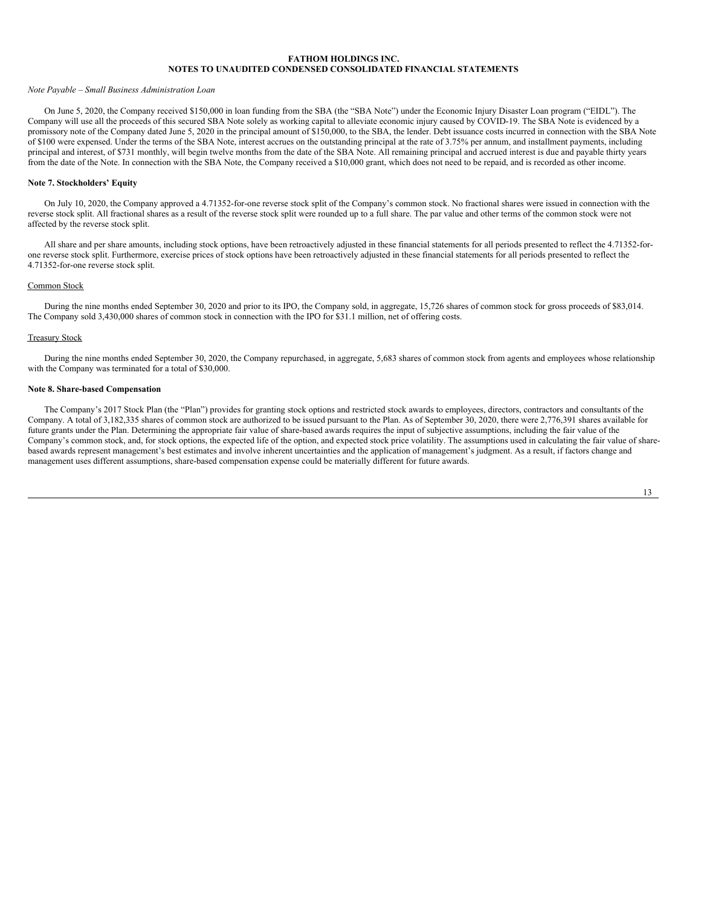#### *Note Payable – Small Business Administration Loan*

On June 5, 2020, the Company received \$150,000 in loan funding from the SBA (the "SBA Note") under the Economic Injury Disaster Loan program ("EIDL"). The Company will use all the proceeds of this secured SBA Note solely as working capital to alleviate economic injury caused by COVID-19. The SBA Note is evidenced by a promissory note of the Company dated June 5, 2020 in the principal amount of \$150,000, to the SBA, the lender. Debt issuance costs incurred in connection with the SBA Note of \$100 were expensed. Under the terms of the SBA Note, interest accrues on the outstanding principal at the rate of 3.75% per annum, and installment payments, including principal and interest, of \$731 monthly, will begin twelve months from the date of the SBA Note. All remaining principal and accrued interest is due and payable thirty years from the date of the Note. In connection with the SBA Note, the Company received a \$10,000 grant, which does not need to be repaid, and is recorded as other income.

## **Note 7. Stockholders' Equity**

On July 10, 2020, the Company approved a 4.71352-for-one reverse stock split of the Company's common stock. No fractional shares were issued in connection with the reverse stock split. All fractional shares as a result of the reverse stock split were rounded up to a full share. The par value and other terms of the common stock were not affected by the reverse stock split.

All share and per share amounts, including stock options, have been retroactively adjusted in these financial statements for all periods presented to reflect the 4.71352-forone reverse stock split. Furthermore, exercise prices of stock options have been retroactively adjusted in these financial statements for all periods presented to reflect the 4.71352-for-one reverse stock split.

#### Common Stock

During the nine months ended September 30, 2020 and prior to its IPO, the Company sold, in aggregate, 15,726 shares of common stock for gross proceeds of \$83,014. The Company sold 3,430,000 shares of common stock in connection with the IPO for \$31.1 million, net of offering costs.

#### Treasury Stock

During the nine months ended September 30, 2020, the Company repurchased, in aggregate, 5,683 shares of common stock from agents and employees whose relationship with the Company was terminated for a total of \$30,000.

#### **Note 8. Share-based Compensation**

The Company's 2017 Stock Plan (the "Plan") provides for granting stock options and restricted stock awards to employees, directors, contractors and consultants of the Company. A total of 3,182,335 shares of common stock are authorized to be issued pursuant to the Plan. As of September 30, 2020, there were 2,776,391 shares available for future grants under the Plan. Determining the appropriate fair value of share-based awards requires the input of subjective assumptions, including the fair value of the Company's common stock, and, for stock options, the expected life of the option, and expected stock price volatility. The assumptions used in calculating the fair value of sharebased awards represent management's best estimates and involve inherent uncertainties and the application of management's judgment. As a result, if factors change and management uses different assumptions, share-based compensation expense could be materially different for future awards.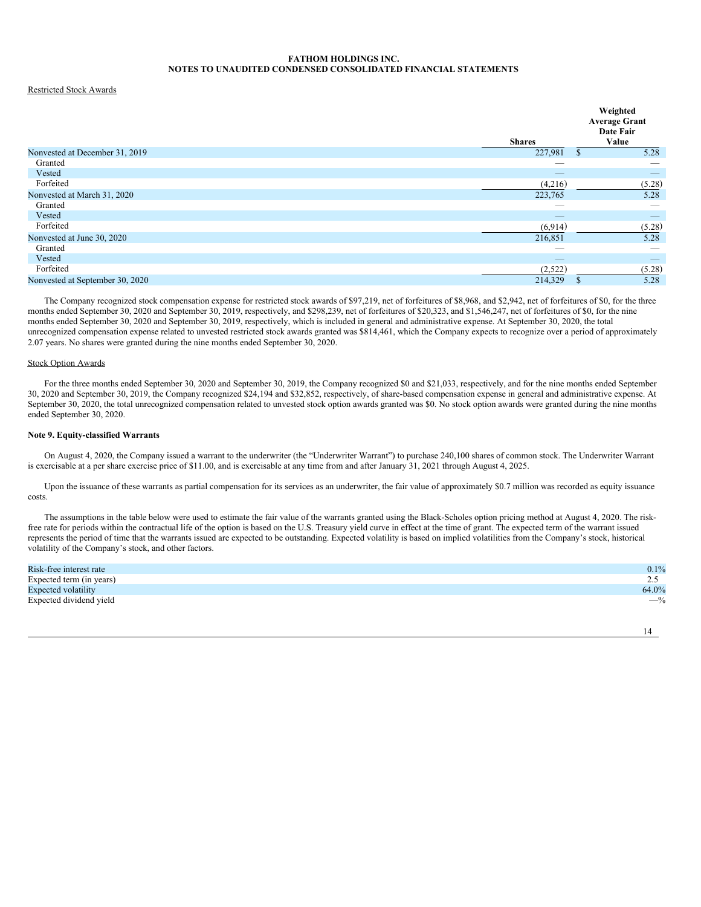# Restricted Stock Awards

|                                | Weighted<br><b>Average Grant</b><br>Date Fair |
|--------------------------------|-----------------------------------------------|
| <b>Shares</b>                  | Value                                         |
| 227,981                        | 5.28<br>$\mathbf{s}$                          |
|                                |                                               |
| $\overbrace{\hspace{25mm}}^{}$ | $\qquad \qquad - \qquad$                      |
| (4,216)                        | (5.28)                                        |
| 223,765                        | 5.28                                          |
| $\overline{\phantom{a}}$       |                                               |
| _                              | _                                             |
| (6,914)                        | (5.28)                                        |
| 216,851                        | 5.28                                          |
| $\overline{\phantom{a}}$       |                                               |
| $\overbrace{\hspace{25mm}}^{}$ | $\qquad \qquad$                               |
| (2,522)                        | (5.28)                                        |
| 214,329                        | 5.28<br>S                                     |
|                                |                                               |

The Company recognized stock compensation expense for restricted stock awards of \$97,219, net of forfeitures of \$8,968, and \$2,942, net of forfeitures of \$0, for the three months ended September 30, 2020 and September 30, 2019, respectively, and \$298,239, net of forfeitures of \$20,323, and \$1,546,247, net of forfeitures of \$0, for the nine months ended September 30, 2020 and September 30, 2019, respectively, which is included in general and administrative expense. At September 30, 2020, the total unrecognized compensation expense related to unvested restricted stock awards granted was \$814,461, which the Company expects to recognize over a period of approximately 2.07 years. No shares were granted during the nine months ended September 30, 2020.

### Stock Option Awards

For the three months ended September 30, 2020 and September 30, 2019, the Company recognized \$0 and \$21,033, respectively, and for the nine months ended September 30, 2020 and September 30, 2019, the Company recognized \$24,194 and \$32,852, respectively, of share-based compensation expense in general and administrative expense. At September 30, 2020, the total unrecognized compensation related to unvested stock option awards granted was \$0. No stock option awards were granted during the nine months ended September 30, 2020.

## **Note 9. Equity-classified Warrants**

On August 4, 2020, the Company issued a warrant to the underwriter (the "Underwriter Warrant") to purchase 240,100 shares of common stock. The Underwriter Warrant is exercisable at a per share exercise price of \$11.00, and is exercisable at any time from and after January 31, 2021 through August 4, 2025.

Upon the issuance of these warrants as partial compensation for its services as an underwriter, the fair value of approximately \$0.7 million was recorded as equity issuance costs.

The assumptions in the table below were used to estimate the fair value of the warrants granted using the Black-Scholes option pricing method at August 4, 2020. The riskfree rate for periods within the contractual life of the option is based on the U.S. Treasury yield curve in effect at the time of grant. The expected term of the warrant issued represents the period of time that the warrants issued are expected to be outstanding. Expected volatility is based on implied volatilities from the Company's stock, historical volatility of the Company's stock, and other factors.

| Risk-free interest rate  | 0.1%           |
|--------------------------|----------------|
| Expected term (in years) | $\overline{a}$ |
| Expected volatility      | 64.0%          |
| Expected dividend yield  | $-$ %          |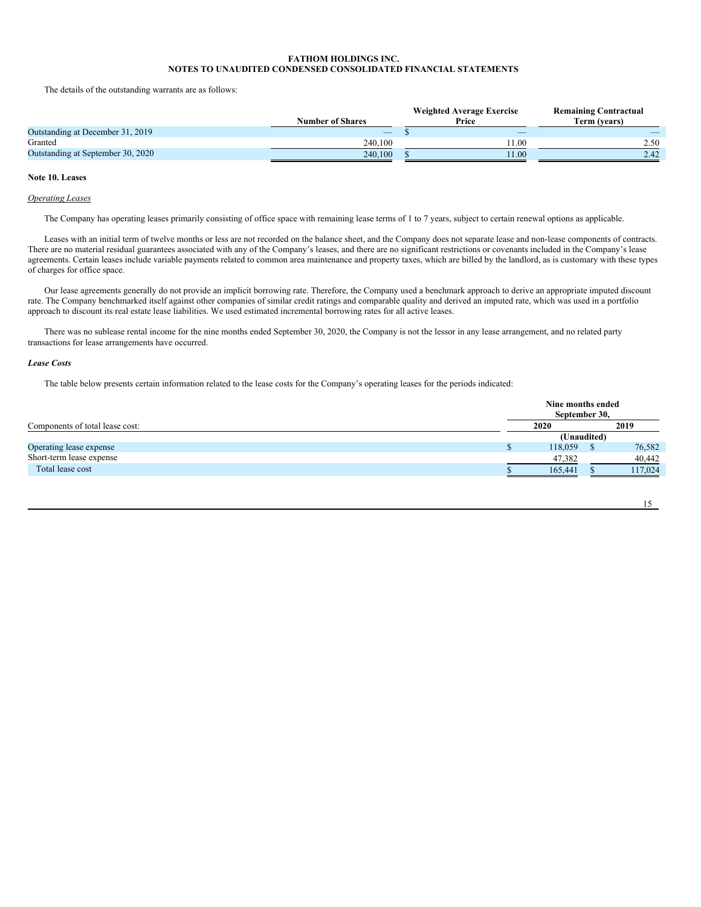The details of the outstanding warrants are as follows:

|                                   |                          | <b>Weighted Average Exercise</b> | <b>Remaining Contractual</b> |
|-----------------------------------|--------------------------|----------------------------------|------------------------------|
|                                   | <b>Number of Shares</b>  | Price                            | Term (vears)                 |
| Outstanding at December 31, 2019  | $\overline{\phantom{a}}$ | $\overline{\phantom{a}}$         | $-$                          |
| Granted                           | 240.100                  | . 1.00                           | 2.50                         |
| Outstanding at September 30, 2020 | 240,100                  | 11.00                            | 2.42                         |

# **Note 10. Leases**

#### *Operating Leases*

The Company has operating leases primarily consisting of office space with remaining lease terms of 1 to 7 years, subject to certain renewal options as applicable.

Leases with an initial term of twelve months or less are not recorded on the balance sheet, and the Company does not separate lease and non-lease components of contracts. There are no material residual guarantees associated with any of the Company's leases, and there are no significant restrictions or covenants included in the Company's lease agreements. Certain leases include variable payments related to common area maintenance and property taxes, which are billed by the landlord, as is customary with these types of charges for office space.

Our lease agreements generally do not provide an implicit borrowing rate. Therefore, the Company used a benchmark approach to derive an appropriate imputed discount rate. The Company benchmarked itself against other companies of similar credit ratings and comparable quality and derived an imputed rate, which was used in a portfolio approach to discount its real estate lease liabilities. We used estimated incremental borrowing rates for all active leases.

There was no sublease rental income for the nine months ended September 30, 2020, the Company is not the lessor in any lease arrangement, and no related party transactions for lease arrangements have occurred.

#### *Lease Costs*

The table below presents certain information related to the lease costs for the Company's operating leases for the periods indicated:

|                                 |  | Nine months ended<br>September 30, |             |         |  |  |
|---------------------------------|--|------------------------------------|-------------|---------|--|--|
| Components of total lease cost: |  | 2020                               |             | 2019    |  |  |
|                                 |  |                                    | (Unaudited) |         |  |  |
| Operating lease expense         |  | 118,059                            |             | 76,582  |  |  |
| Short-term lease expense        |  | 47,382                             |             | 40,442  |  |  |
| Total lease cost                |  | 165.441                            |             | 117.024 |  |  |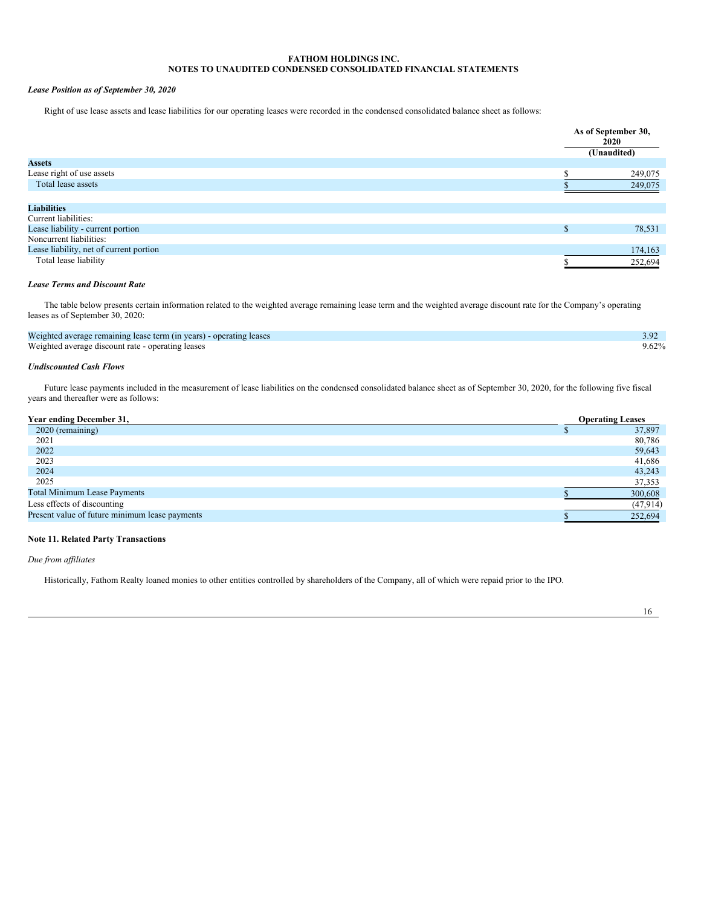# *Lease Position as of September 30, 2020*

Right of use lease assets and lease liabilities for our operating leases were recorded in the condensed consolidated balance sheet as follows:

|                                         |   | As of September 30,<br>2020<br>(Unaudited) |
|-----------------------------------------|---|--------------------------------------------|
| <b>Assets</b>                           |   |                                            |
| Lease right of use assets               |   | 249,075                                    |
| Total lease assets                      |   | 249,075                                    |
|                                         |   |                                            |
| <b>Liabilities</b>                      |   |                                            |
| Current liabilities:                    |   |                                            |
| Lease liability - current portion       | ъ | 78,531                                     |
| Noncurrent liabilities:                 |   |                                            |
| Lease liability, net of current portion |   | 174,163                                    |
| Total lease liability                   |   | 252,694                                    |

# *Lease Terms and Discount Rate*

The table below presents certain information related to the weighted average remaining lease term and the weighted average discount rate for the Company's operating leases as of September 30, 2020:

| Weighted average remaining lease term (in years) - operating leases | 3.92     |
|---------------------------------------------------------------------|----------|
| Weighted average discount rate - operating leases                   | $9.62\%$ |

# *Undiscounted Cash Flows*

Future lease payments included in the measurement of lease liabilities on the condensed consolidated balance sheet as of September 30, 2020, for the following five fiscal years and thereafter were as follows:

| Year ending December 31,                       | <b>Operating Leases</b> |
|------------------------------------------------|-------------------------|
| 2020 (remaining)                               | 37,897                  |
| 2021                                           | 80,786                  |
| 2022                                           | 59,643                  |
| 2023                                           | 41,686                  |
| 2024                                           | 43,243                  |
| 2025                                           | 37,353                  |
| <b>Total Minimum Lease Payments</b>            | 300,608                 |
| Less effects of discounting                    | (47, 914)               |
| Present value of future minimum lease payments | 252,694                 |

# **Note 11. Related Party Transactions**

*Due from af iliates*

Historically, Fathom Realty loaned monies to other entities controlled by shareholders of the Company, all of which were repaid prior to the IPO.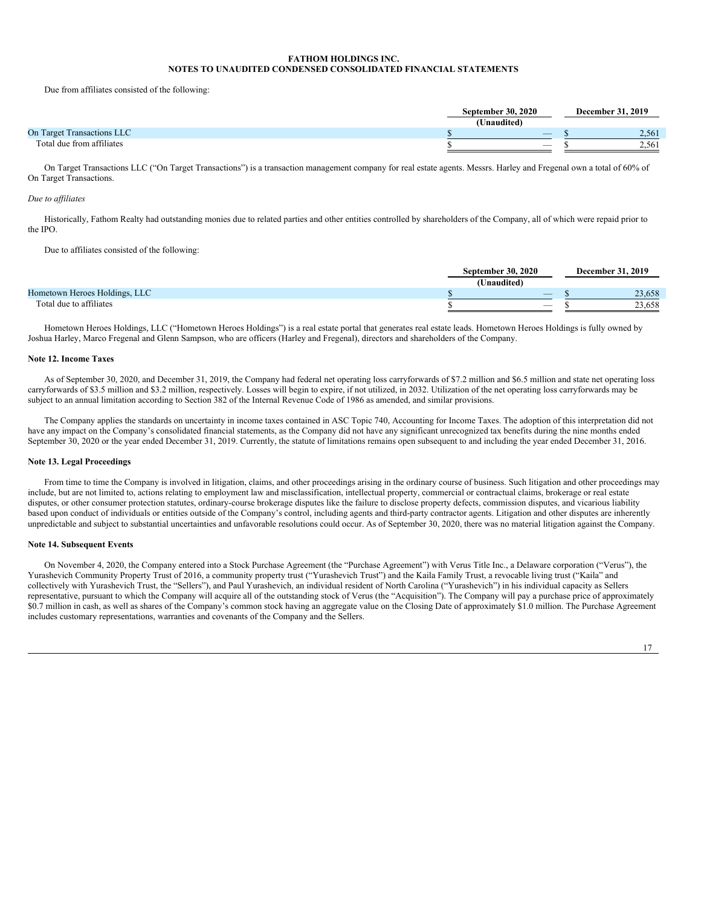Due from affiliates consisted of the following:

|                                   | <b>September 30, 2020</b> |       |
|-----------------------------------|---------------------------|-------|
|                                   | (Unaudited)               |       |
| <b>On Target Transactions LLC</b> | $\overline{\phantom{a}}$  | 2.561 |
| Total due from affiliates         | $\overline{\phantom{a}}$  | 2.561 |

On Target Transactions LLC ("On Target Transactions") is a transaction management company for real estate agents. Messrs. Harley and Fregenal own a total of 60% of On Target Transactions.

#### *Due to af iliates*

Historically, Fathom Realty had outstanding monies due to related parties and other entities controlled by shareholders of the Company, all of which were repaid prior to the IPO.

Due to affiliates consisted of the following:

|                               | <b>September 30, 2020</b> |  | <b>December 31, 2019</b> |  |
|-------------------------------|---------------------------|--|--------------------------|--|
|                               | (Unaudited)               |  |                          |  |
| Hometown Heroes Holdings, LLC | $\overline{\phantom{a}}$  |  | 23,658                   |  |
| Total due to affiliates       | -                         |  | 23.658                   |  |

Hometown Heroes Holdings, LLC ("Hometown Heroes Holdings") is a real estate portal that generates real estate leads. Hometown Heroes Holdings is fully owned by Joshua Harley, Marco Fregenal and Glenn Sampson, who are officers (Harley and Fregenal), directors and shareholders of the Company.

#### **Note 12. Income Taxes**

As of September 30, 2020, and December 31, 2019, the Company had federal net operating loss carryforwards of \$7.2 million and \$6.5 million and state net operating loss carryforwards of \$3.5 million and \$3.2 million, respectively. Losses will begin to expire, if not utilized, in 2032. Utilization of the net operating loss carryforwards may be subject to an annual limitation according to Section 382 of the Internal Revenue Code of 1986 as amended, and similar provisions.

The Company applies the standards on uncertainty in income taxes contained in ASC Topic 740, Accounting for Income Taxes. The adoption of this interpretation did not have any impact on the Company's consolidated financial statements, as the Company did not have any significant unrecognized tax benefits during the nine months ended September 30, 2020 or the year ended December 31, 2019. Currently, the statute of limitations remains open subsequent to and including the year ended December 31, 2016.

#### **Note 13. Legal Proceedings**

From time to time the Company is involved in litigation, claims, and other proceedings arising in the ordinary course of business. Such litigation and other proceedings may include, but are not limited to, actions relating to employment law and misclassification, intellectual property, commercial or contractual claims, brokerage or real estate disputes, or other consumer protection statutes, ordinary-course brokerage disputes like the failure to disclose property defects, commission disputes, and vicarious liability based upon conduct of individuals or entities outside of the Company's control, including agents and third-party contractor agents. Litigation and other disputes are inherently unpredictable and subject to substantial uncertainties and unfavorable resolutions could occur. As of September 30, 2020, there was no material litigation against the Company.

#### **Note 14. Subsequent Events**

On November 4, 2020, the Company entered into a Stock Purchase Agreement (the "Purchase Agreement") with Verus Title Inc., a Delaware corporation ("Verus"), the Yurashevich Community Property Trust of 2016, a community property trust ("Yurashevich Trust") and the Kaila Family Trust, a revocable living trust ("Kaila" and collectively with Yurashevich Trust, the "Sellers"), and Paul Yurashevich, an individual resident of North Carolina ("Yurashevich") in his individual capacity as Sellers representative, pursuant to which the Company will acquire all of the outstanding stock of Verus (the "Acquisition"). The Company will pay a purchase price of approximately \$0.7 million in cash, as well as shares of the Company's common stock having an aggregate value on the Closing Date of approximately \$1.0 million. The Purchase Agreement includes customary representations, warranties and covenants of the Company and the Sellers.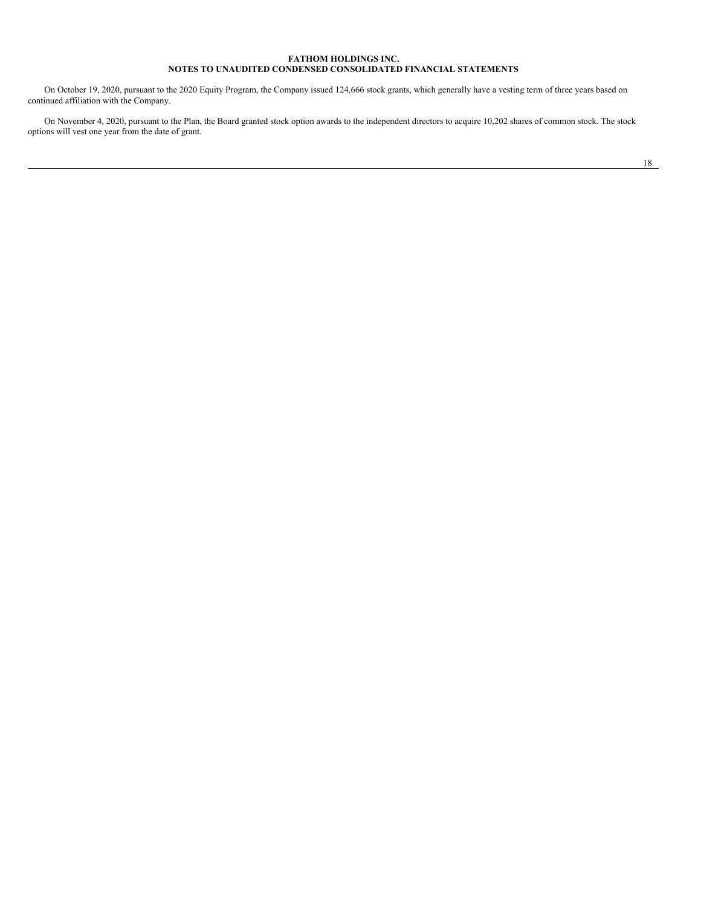On October 19, 2020, pursuant to the 2020 Equity Program, the Company issued 124,666 stock grants, which generally have a vesting term of three years based on continued affiliation with the Company.

On November 4, 2020, pursuant to the Plan, the Board granted stock option awards to the independent directors to acquire 10,202 shares of common stock. The stock options will vest one year from the date of grant.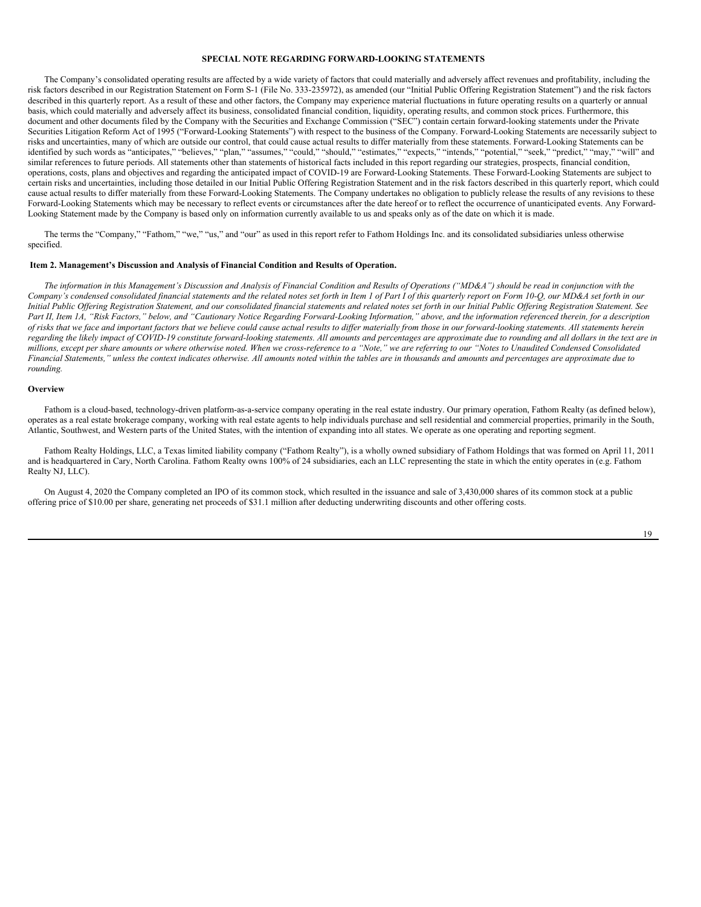#### **SPECIAL NOTE REGARDING FORWARD-LOOKING STATEMENTS**

The Company's consolidated operating results are affected by a wide variety of factors that could materially and adversely affect revenues and profitability, including the risk factors described in our Registration Statement on Form S-1 (File No. 333-235972), as amended (our "Initial Public Offering Registration Statement") and the risk factors described in this quarterly report. As a result of these and other factors, the Company may experience material fluctuations in future operating results on a quarterly or annual basis, which could materially and adversely affect its business, consolidated financial condition, liquidity, operating results, and common stock prices. Furthermore, this document and other documents filed by the Company with the Securities and Exchange Commission ("SEC") contain certain forward-looking statements under the Private Securities Litigation Reform Act of 1995 ("Forward-Looking Statements") with respect to the business of the Company. Forward-Looking Statements are necessarily subject to risks and uncertainties, many of which are outside our control, that could cause actual results to differ materially from these statements. Forward-Looking Statements can be identified by such words as "anticipates," "believes," "plan," "assumes," "could," "should," "estimates," "expects," "intends," "potential," "seek," "predict," "may," "will" and similar references to future periods. All statements other than statements of historical facts included in this report regarding our strategies, prospects, financial condition, operations, costs, plans and objectives and regarding the anticipated impact of COVID-19 are Forward-Looking Statements. These Forward-Looking Statements are subject to certain risks and uncertainties, including those detailed in our Initial Public Offering Registration Statement and in the risk factors described in this quarterly report, which could cause actual results to differ materially from these Forward-Looking Statements. The Company undertakes no obligation to publicly release the results of any revisions to these Forward-Looking Statements which may be necessary to reflect events or circumstances after the date hereof or to reflect the occurrence of unanticipated events. Any Forward-Looking Statement made by the Company is based only on information currently available to us and speaks only as of the date on which it is made.

The terms the "Company," "Fathom," "we," "us," and "our" as used in this report refer to Fathom Holdings Inc. and its consolidated subsidiaries unless otherwise specified.

#### <span id="page-19-0"></span>**Item 2. Management's Discussion and Analysis of Financial Condition and Results of Operation.**

The information in this Management's Discussion and Analysis of Financial Condition and Results of Operations ("MD&A") should be read in conjunction with the Company's condensed consolidated financial statements and the related notes set forth in Item 1 of Part I of this quarterly report on Form 10-Q, our MD&A set forth in our Initial Public Offering Registration Statement, and our consolidated financial statements and related notes set forth in our Initial Public Offering Registration Statement. See Part II, Item 1A, "Risk Factors," below, and "Cautionary Notice Regarding Forward-Looking Information," above, and the information referenced therein, for a description of risks that we face and important factors that we believe could cause actual results to differ materially from those in our forward-looking statements. All statements herein regarding the likely impact of COVID-19 constitute forward-looking statements. All amounts and percentages are approximate due to rounding and all dollars in the text are in millions, except per share amounts or where otherwise noted. When we cross-reference to a "Note," we are referring to our "Notes to Unaudited Condensed Consolidated Financial Statements," unless the context indicates otherwise. All amounts noted within the tables are in thousands and amounts and percentages are approximate due to *rounding.*

#### **Overview**

Fathom is a cloud-based, technology-driven platform-as-a-service company operating in the real estate industry. Our primary operation, Fathom Realty (as defined below), operates as a real estate brokerage company, working with real estate agents to help individuals purchase and sell residential and commercial properties, primarily in the South, Atlantic, Southwest, and Western parts of the United States, with the intention of expanding into all states. We operate as one operating and reporting segment.

Fathom Realty Holdings, LLC, a Texas limited liability company ("Fathom Realty"), is a wholly owned subsidiary of Fathom Holdings that was formed on April 11, 2011 and is headquartered in Cary, North Carolina. Fathom Realty owns 100% of 24 subsidiaries, each an LLC representing the state in which the entity operates in (e.g. Fathom Realty NJ, LLC).

On August 4, 2020 the Company completed an IPO of its common stock, which resulted in the issuance and sale of 3,430,000 shares of its common stock at a public offering price of \$10.00 per share, generating net proceeds of \$31.1 million after deducting underwriting discounts and other offering costs.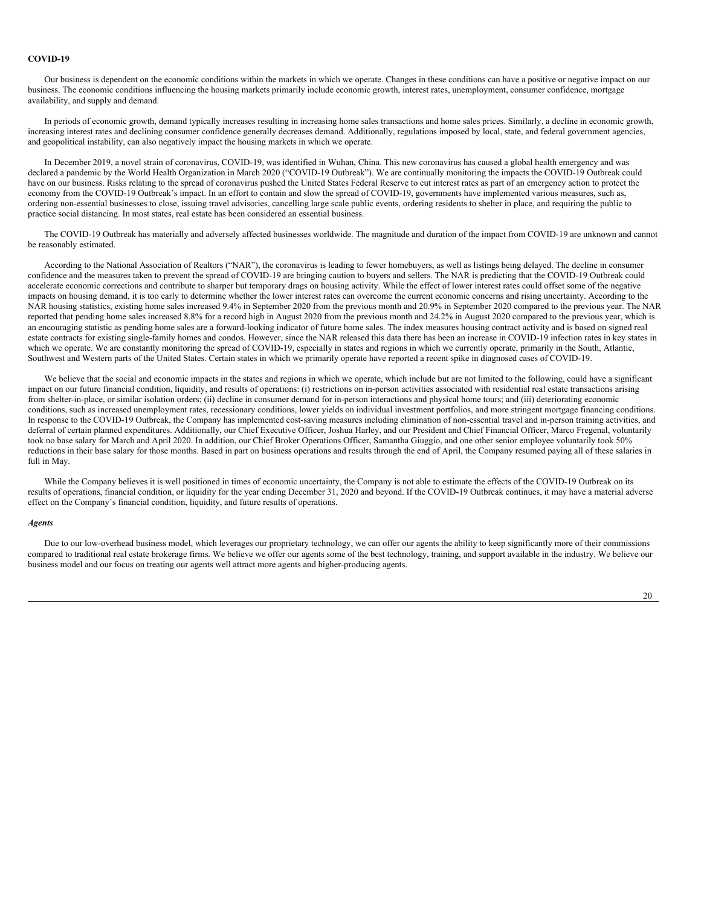# **COVID-19**

Our business is dependent on the economic conditions within the markets in which we operate. Changes in these conditions can have a positive or negative impact on our business. The economic conditions influencing the housing markets primarily include economic growth, interest rates, unemployment, consumer confidence, mortgage availability, and supply and demand.

In periods of economic growth, demand typically increases resulting in increasing home sales transactions and home sales prices. Similarly, a decline in economic growth, increasing interest rates and declining consumer confidence generally decreases demand. Additionally, regulations imposed by local, state, and federal government agencies, and geopolitical instability, can also negatively impact the housing markets in which we operate.

In December 2019, a novel strain of coronavirus, COVID-19, was identified in Wuhan, China. This new coronavirus has caused a global health emergency and was declared a pandemic by the World Health Organization in March 2020 ("COVID-19 Outbreak"). We are continually monitoring the impacts the COVID-19 Outbreak could have on our business. Risks relating to the spread of coronavirus pushed the United States Federal Reserve to cut interest rates as part of an emergency action to protect the economy from the COVID-19 Outbreak's impact. In an effort to contain and slow the spread of COVID-19, governments have implemented various measures, such as, ordering non-essential businesses to close, issuing travel advisories, cancelling large scale public events, ordering residents to shelter in place, and requiring the public to practice social distancing. In most states, real estate has been considered an essential business.

The COVID-19 Outbreak has materially and adversely affected businesses worldwide. The magnitude and duration of the impact from COVID-19 are unknown and cannot be reasonably estimated.

According to the National Association of Realtors ("NAR"), the coronavirus is leading to fewer homebuyers, as well as listings being delayed. The decline in consumer confidence and the measures taken to prevent the spread of COVID-19 are bringing caution to buyers and sellers. The NAR is predicting that the COVID-19 Outbreak could accelerate economic corrections and contribute to sharper but temporary drags on housing activity. While the effect of lower interest rates could offset some of the negative impacts on housing demand, it is too early to determine whether the lower interest rates can overcome the current economic concerns and rising uncertainty. According to the NAR housing statistics, existing home sales increased 9.4% in September 2020 from the previous month and 20.9% in September 2020 compared to the previous year. The NAR reported that pending home sales increased 8.8% for a record high in August 2020 from the previous month and 24.2% in August 2020 compared to the previous year, which is an encouraging statistic as pending home sales are a forward-looking indicator of future home sales. The index measures housing contract activity and is based on signed real estate contracts for existing single-family homes and condos. However, since the NAR released this data there has been an increase in COVID-19 infection rates in key states in which we operate. We are constantly monitoring the spread of COVID-19, especially in states and regions in which we currently operate, primarily in the South, Atlantic, Southwest and Western parts of the United States. Certain states in which we primarily operate have reported a recent spike in diagnosed cases of COVID-19.

We believe that the social and economic impacts in the states and regions in which we operate, which include but are not limited to the following, could have a significant impact on our future financial condition, liquidity, and results of operations: (i) restrictions on in-person activities associated with residential real estate transactions arising from shelter-in-place, or similar isolation orders; (ii) decline in consumer demand for in-person interactions and physical home tours; and (iii) deteriorating economic conditions, such as increased unemployment rates, recessionary conditions, lower yields on individual investment portfolios, and more stringent mortgage financing conditions. In response to the COVID-19 Outbreak, the Company has implemented cost-saving measures including elimination of non-essential travel and in-person training activities, and deferral of certain planned expenditures. Additionally, our Chief Executive Officer, Joshua Harley, and our President and Chief Financial Officer, Marco Fregenal, voluntarily took no base salary for March and April 2020. In addition, our Chief Broker Operations Officer, Samantha Giuggio, and one other senior employee voluntarily took 50% reductions in their base salary for those months. Based in part on business operations and results through the end of April, the Company resumed paying all of these salaries in full in May.

While the Company believes it is well positioned in times of economic uncertainty, the Company is not able to estimate the effects of the COVID-19 Outbreak on its results of operations, financial condition, or liquidity for the year ending December 31, 2020 and beyond. If the COVID-19 Outbreak continues, it may have a material adverse effect on the Company's financial condition, liquidity, and future results of operations.

#### *Agents*

Due to our low-overhead business model, which leverages our proprietary technology, we can offer our agents the ability to keep significantly more of their commissions compared to traditional real estate brokerage firms. We believe we offer our agents some of the best technology, training, and support available in the industry. We believe our business model and our focus on treating our agents well attract more agents and higher-producing agents.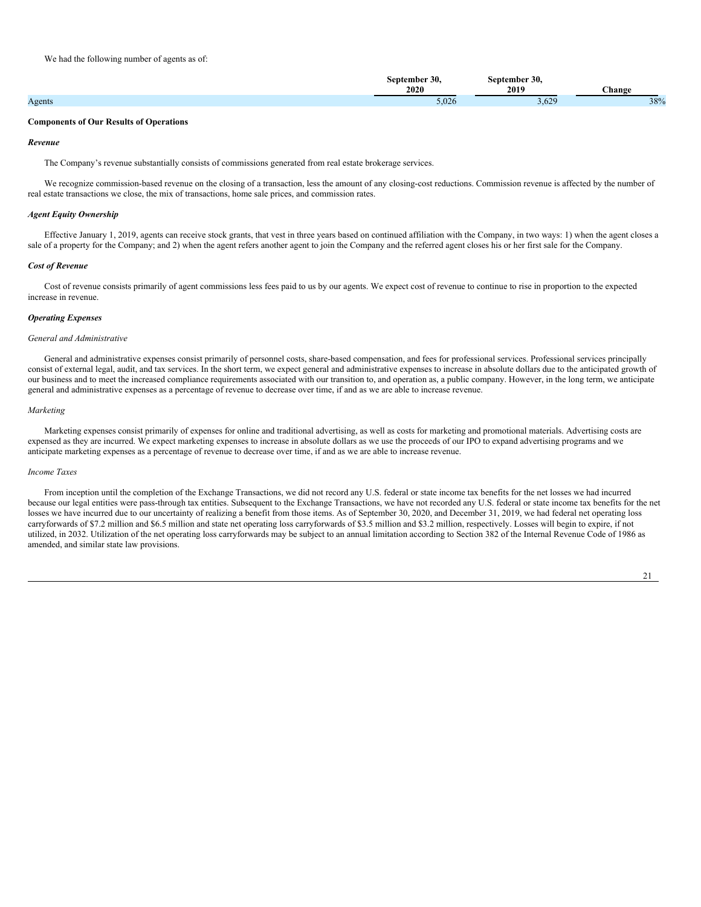|        | 30.   | 30.<br>tember<br>ien:  |        |
|--------|-------|------------------------|--------|
|        | 2020  | 2019                   | hange_ |
| Agents | 5.026 | $\sim$<br>$0.02^\circ$ | 38%    |

#### **Components of Our Results of Operations**

#### *Revenue*

The Company's revenue substantially consists of commissions generated from real estate brokerage services.

We recognize commission-based revenue on the closing of a transaction, less the amount of any closing-cost reductions. Commission revenue is affected by the number of real estate transactions we close, the mix of transactions, home sale prices, and commission rates.

#### *Agent Equity Ownership*

Effective January 1, 2019, agents can receive stock grants, that vest in three years based on continued affiliation with the Company, in two ways: 1) when the agent closes a sale of a property for the Company; and 2) when the agent refers another agent to join the Company and the referred agent closes his or her first sale for the Company.

#### *Cost of Revenue*

Cost of revenue consists primarily of agent commissions less fees paid to us by our agents. We expect cost of revenue to continue to rise in proportion to the expected increase in revenue.

### *Operating Expenses*

# *General and Administrative*

General and administrative expenses consist primarily of personnel costs, share-based compensation, and fees for professional services. Professional services principally consist of external legal, audit, and tax services. In the short term, we expect general and administrative expenses to increase in absolute dollars due to the anticipated growth of our business and to meet the increased compliance requirements associated with our transition to, and operation as, a public company. However, in the long term, we anticipate general and administrative expenses as a percentage of revenue to decrease over time, if and as we are able to increase revenue.

#### *Marketing*

Marketing expenses consist primarily of expenses for online and traditional advertising, as well as costs for marketing and promotional materials. Advertising costs are expensed as they are incurred. We expect marketing expenses to increase in absolute dollars as we use the proceeds of our IPO to expand advertising programs and we anticipate marketing expenses as a percentage of revenue to decrease over time, if and as we are able to increase revenue.

#### *Income Taxes*

From inception until the completion of the Exchange Transactions, we did not record any U.S. federal or state income tax benefits for the net losses we had incurred because our legal entities were pass-through tax entities. Subsequent to the Exchange Transactions, we have not recorded any U.S. federal or state income tax benefits for the net losses we have incurred due to our uncertainty of realizing a benefit from those items. As of September 30, 2020, and December 31, 2019, we had federal net operating loss carryforwards of \$7.2 million and \$6.5 million and state net operating loss carryforwards of \$3.5 million and \$3.2 million, respectively. Losses will begin to expire, if not utilized, in 2032. Utilization of the net operating loss carryforwards may be subject to an annual limitation according to Section 382 of the Internal Revenue Code of 1986 as amended, and similar state law provisions.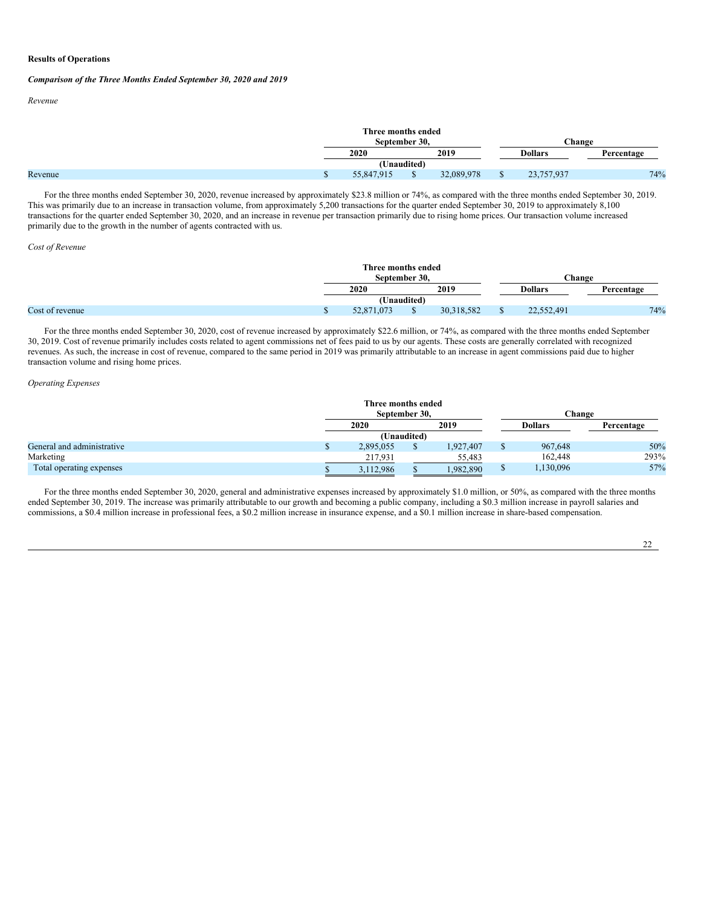# **Results of Operations**

### *Comparison of the Three Months Ended September 30, 2020 and 2019*

*Revenue*

|         | Three months ended<br>September 30. |  |            |  | Change         |            |  |
|---------|-------------------------------------|--|------------|--|----------------|------------|--|
|         | 2019<br>2020                        |  |            |  | <b>Dollars</b> | Percentage |  |
|         | (Unaudited)                         |  |            |  |                |            |  |
| Revenue | 55,847,915                          |  | 32,089,978 |  | 23,757,937     | 74%        |  |

For the three months ended September 30, 2020, revenue increased by approximately \$23.8 million or 74%, as compared with the three months ended September 30, 2019. This was primarily due to an increase in transaction volume, from approximately 5,200 transactions for the quarter ended September 30, 2019 to approximately 8,100 transactions for the quarter ended September 30, 2020, and an increase in revenue per transaction primarily due to rising home prices. Our transaction volume increased primarily due to the growth in the number of agents contracted with us.

#### *Cost of Revenue*

|                 | Three months ended<br>September 30. |      |            |  | <b>Change</b>  |            |  |
|-----------------|-------------------------------------|------|------------|--|----------------|------------|--|
|                 | 2020                                | 2019 |            |  | <b>Dollars</b> | Percentage |  |
|                 | (Unaudited)                         |      |            |  |                |            |  |
| Cost of revenue | 52,871,073                          |      | 30,318,582 |  | 22,552,491     | 74%        |  |

For the three months ended September 30, 2020, cost of revenue increased by approximately \$22.6 million, or 74%, as compared with the three months ended September 30, 2019. Cost of revenue primarily includes costs related to agent commissions net of fees paid to us by our agents. These costs are generally correlated with recognized revenues. As such, the increase in cost of revenue, compared to the same period in 2019 was primarily attributable to an increase in agent commissions paid due to higher transaction volume and rising home prices.

# *Operating Expenses*

|                            | Three months ended<br>September 30, |  |           | Change         |            |
|----------------------------|-------------------------------------|--|-----------|----------------|------------|
|                            | 2020<br>2019                        |  |           | <b>Dollars</b> | Percentage |
|                            | (Unaudited)                         |  |           |                |            |
| General and administrative | 2,895,055                           |  | 1,927,407 | 967,648        | 50%        |
| Marketing                  | 217,931                             |  | 55,483    | 162,448        | 293%       |
| Total operating expenses   | 3,112,986                           |  | 1,982,890 | 1,130,096      | 57%        |

For the three months ended September 30, 2020, general and administrative expenses increased by approximately \$1.0 million, or 50%, as compared with the three months ended September 30, 2019. The increase was primarily attributable to our growth and becoming a public company, including a \$0.3 million increase in payroll salaries and commissions, a \$0.4 million increase in professional fees, a \$0.2 million increase in insurance expense, and a \$0.1 million increase in share-based compensation.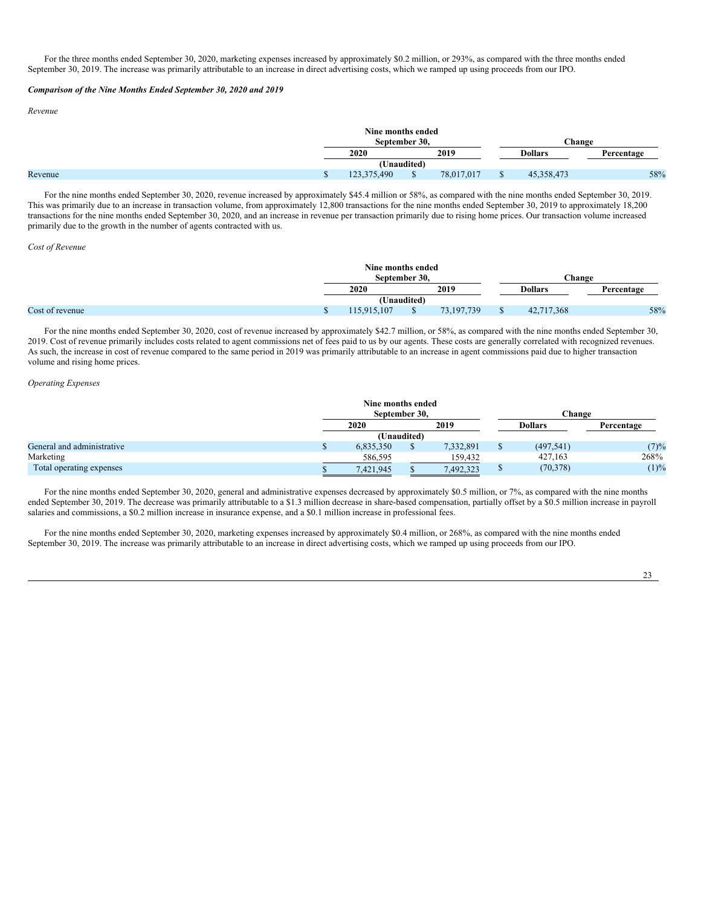For the three months ended September 30, 2020, marketing expenses increased by approximately \$0.2 million, or 293%, as compared with the three months ended September 30, 2019. The increase was primarily attributable to an increase in direct advertising costs, which we ramped up using proceeds from our IPO.

## *Comparison of the Nine Months Ended September 30, 2020 and 2019*

#### *Revenue*

|         | Nine months ended |  |            |  |                |            |  |
|---------|-------------------|--|------------|--|----------------|------------|--|
|         | September 30.     |  |            |  | Change         |            |  |
|         | 2019<br>2020      |  |            |  | <b>Dollars</b> | Percentage |  |
|         | (Unaudited)       |  |            |  |                |            |  |
| Revenue | .375.490          |  | 78,017,017 |  | 45,358,473     | 58%        |  |

For the nine months ended September 30, 2020, revenue increased by approximately \$45.4 million or 58%, as compared with the nine months ended September 30, 2019. This was primarily due to an increase in transaction volume, from approximately 12,800 transactions for the nine months ended September 30, 2019 to approximately 18,200 transactions for the nine months ended September 30, 2020, and an increase in revenue per transaction primarily due to rising home prices. Our transaction volume increased primarily due to the growth in the number of agents contracted with us.

#### *Cost of Revenue*

|                 | Nine months ended<br>September 30. |  |              |  | <b>Change</b>  |            |  |
|-----------------|------------------------------------|--|--------------|--|----------------|------------|--|
|                 | 2019<br>2020                       |  |              |  | <b>Dollars</b> | Percentage |  |
|                 | (Unaudited)                        |  |              |  |                |            |  |
| Cost of revenue | 115.915.107                        |  | 73, 197, 739 |  | 42,717,368     | 58%        |  |

For the nine months ended September 30, 2020, cost of revenue increased by approximately \$42.7 million, or 58%, as compared with the nine months ended September 30, 2019. Cost of revenue primarily includes costs related to agent commissions net of fees paid to us by our agents. These costs are generally correlated with recognized revenues. As such, the increase in cost of revenue compared to the same period in 2019 was primarily attributable to an increase in agent commissions paid due to higher transaction volume and rising home prices.

### *Operating Expenses*

|                            | Nine months ended |             |           |                |            |
|----------------------------|-------------------|-------------|-----------|----------------|------------|
|                            | September 30.     |             |           | Change         |            |
|                            | 2020              |             | 2019      | <b>Dollars</b> | Percentage |
|                            |                   | (Unaudited) |           |                |            |
| General and administrative | 6.835.350         |             | 7,332,891 | (497, 541)     | (7)%       |
| Marketing                  | 586,595           |             | 159,432   | 427,163        | 268%       |
| Total operating expenses   | 7,421,945         |             | 7,492,323 | (70, 378)      | (1)%       |

For the nine months ended September 30, 2020, general and administrative expenses decreased by approximately \$0.5 million, or 7%, as compared with the nine months ended September 30, 2019. The decrease was primarily attributable to a \$1.3 million decrease in share-based compensation, partially offset by a \$0.5 million increase in payroll salaries and commissions, a \$0.2 million increase in insurance expense, and a \$0.1 million increase in professional fees.

For the nine months ended September 30, 2020, marketing expenses increased by approximately \$0.4 million, or 268%, as compared with the nine months ended September 30, 2019. The increase was primarily attributable to an increase in direct advertising costs, which we ramped up using proceeds from our IPO.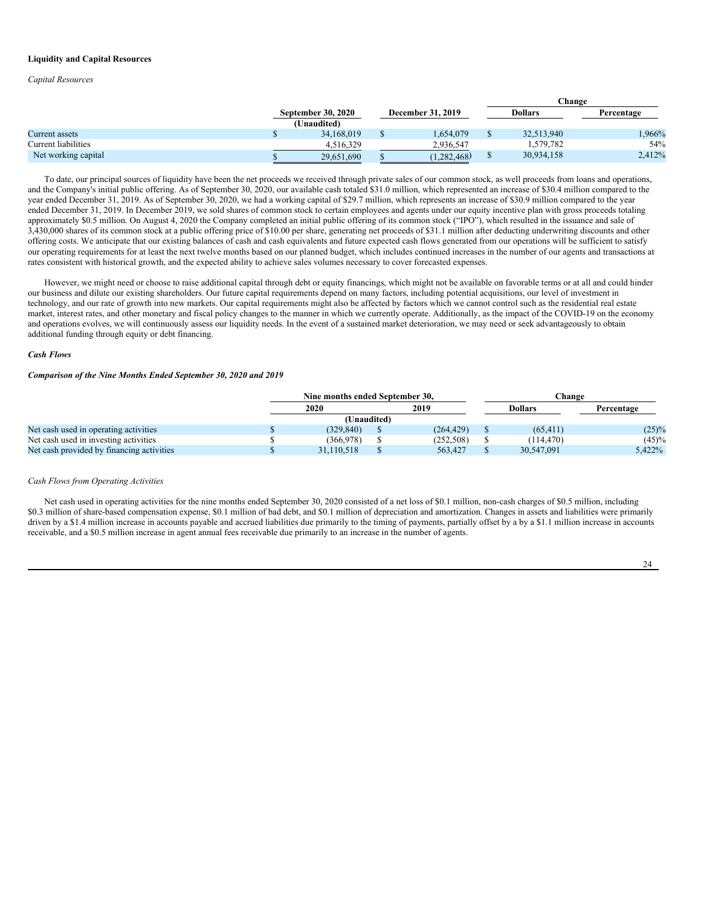### **Liquidity and Capital Resources**

*Capital Resources*

|                     |                                          |                          |   | Change     |            |
|---------------------|------------------------------------------|--------------------------|---|------------|------------|
|                     | <b>September 30, 2020</b><br>(Unaudited) | <b>December 31, 2019</b> |   | Dollars    | Percentage |
| Current assets      | 34,168,019                               | 1.654.079                |   | 32,513,940 | .966%      |
| Current liabilities | 4.516.329                                | 2.936.547                |   | 579,782    | 54%        |
| Net working capital | 29,651,690                               | (1,282,468)              | D | 30,934,158 | 2,412%     |

To date, our principal sources of liquidity have been the net proceeds we received through private sales of our common stock, as well proceeds from loans and operations, and the Company's initial public offering. As of September 30, 2020, our available cash totaled \$31.0 million, which represented an increase of \$30.4 million compared to the year ended December 31, 2019. As of September 30, 2020, we had a working capital of \$29.7 million, which represents an increase of \$30.9 million compared to the year ended December 31, 2019. In December 2019, we sold shares of common stock to certain employees and agents under our equity incentive plan with gross proceeds totaling approximately \$0.5 million. On August 4, 2020 the Company completed an initial public offering of its common stock ("IPO"), which resulted in the issuance and sale of 3,430,000 shares of its common stock at a public offering price of \$10.00 per share, generating net proceeds of \$31.1 million after deducting underwriting discounts and other offering costs. We anticipate that our existing balances of cash and cash equivalents and future expected cash flows generated from our operations will be sufficient to satisfy our operating requirements for at least the next twelve months based on our planned budget, which includes continued increases in the number of our agents and transactions at rates consistent with historical growth, and the expected ability to achieve sales volumes necessary to cover forecasted expenses.

However, we might need or choose to raise additional capital through debt or equity financings, which might not be available on favorable terms or at all and could hinder our business and dilute our existing shareholders. Our future capital requirements depend on many factors, including potential acquisitions, our level of investment in technology, and our rate of growth into new markets. Our capital requirements might also be affected by factors which we cannot control such as the residential real estate market, interest rates, and other monetary and fiscal policy changes to the manner in which we currently operate. Additionally, as the impact of the COVID-19 on the economy and operations evolves, we will continuously assess our liquidity needs. In the event of a sustained market deterioration, we may need or seek advantageously to obtain additional funding through equity or debt financing.

### *Cash Flows*

### *Comparison of the Nine Months Ended September 30, 2020 and 2019*

|                                           | Nine months ended September 30. |            | <b>Change</b> |                |            |  |
|-------------------------------------------|---------------------------------|------------|---------------|----------------|------------|--|
|                                           | 2020                            | 2019       |               | <b>Dollars</b> | Percentage |  |
|                                           | (Unaudited)                     |            |               |                |            |  |
| Net cash used in operating activities     | (329.840)                       | (264, 429) |               | (65, 411)      | $(25)\%$   |  |
| Net cash used in investing activities     | (366,978)                       | (252, 508) |               | (114.470)      | $(45)\%$   |  |
| Net cash provided by financing activities | 31.110.518                      | 563,427    |               | 30,547,091     | 5,422%     |  |

# *Cash Flows from Operating Activities*

Net cash used in operating activities for the nine months ended September 30, 2020 consisted of a net loss of \$0.1 million, non-cash charges of \$0.5 million, including \$0.3 million of share-based compensation expense, \$0.1 million of bad debt, and \$0.1 million of depreciation and amortization. Changes in assets and liabilities were primarily driven by a \$1.4 million increase in accounts payable and accrued liabilities due primarily to the timing of payments, partially offset by a by a \$1.1 million increase in accounts receivable, and a \$0.5 million increase in agent annual fees receivable due primarily to an increase in the number of agents.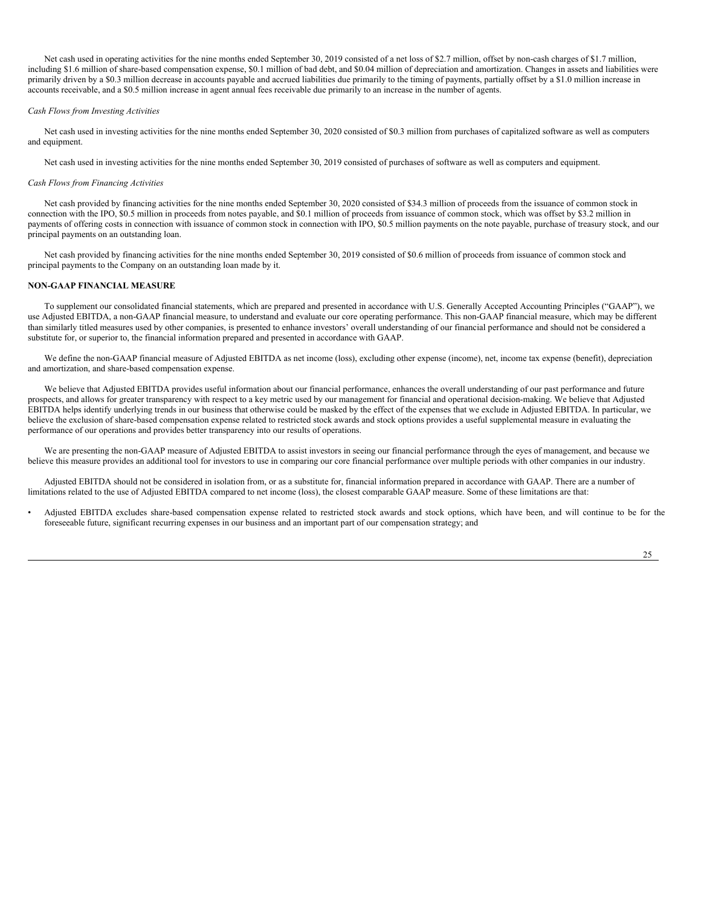Net cash used in operating activities for the nine months ended September 30, 2019 consisted of a net loss of \$2.7 million, offset by non-cash charges of \$1.7 million, including \$1.6 million of share-based compensation expense, \$0.1 million of bad debt, and \$0.04 million of depreciation and amortization. Changes in assets and liabilities were primarily driven by a \$0.3 million decrease in accounts payable and accrued liabilities due primarily to the timing of payments, partially offset by a \$1.0 million increase in accounts receivable, and a \$0.5 million increase in agent annual fees receivable due primarily to an increase in the number of agents.

#### *Cash Flows from Investing Activities*

Net cash used in investing activities for the nine months ended September 30, 2020 consisted of \$0.3 million from purchases of capitalized software as well as computers and equipment.

Net cash used in investing activities for the nine months ended September 30, 2019 consisted of purchases of software as well as computers and equipment.

#### *Cash Flows from Financing Activities*

Net cash provided by financing activities for the nine months ended September 30, 2020 consisted of \$34.3 million of proceeds from the issuance of common stock in connection with the IPO, \$0.5 million in proceeds from notes payable, and \$0.1 million of proceeds from issuance of common stock, which was offset by \$3.2 million in payments of offering costs in connection with issuance of common stock in connection with IPO, \$0.5 million payments on the note payable, purchase of treasury stock, and our principal payments on an outstanding loan.

Net cash provided by financing activities for the nine months ended September 30, 2019 consisted of \$0.6 million of proceeds from issuance of common stock and principal payments to the Company on an outstanding loan made by it.

# **NON-GAAP FINANCIAL MEASURE**

To supplement our consolidated financial statements, which are prepared and presented in accordance with U.S. Generally Accepted Accounting Principles ("GAAP"), we use Adjusted EBITDA, a non-GAAP financial measure, to understand and evaluate our core operating performance. This non-GAAP financial measure, which may be different than similarly titled measures used by other companies, is presented to enhance investors' overall understanding of our financial performance and should not be considered a substitute for, or superior to, the financial information prepared and presented in accordance with GAAP.

We define the non-GAAP financial measure of Adjusted EBITDA as net income (loss), excluding other expense (income), net, income tax expense (benefit), depreciation and amortization, and share-based compensation expense.

We believe that Adjusted EBITDA provides useful information about our financial performance, enhances the overall understanding of our past performance and future prospects, and allows for greater transparency with respect to a key metric used by our management for financial and operational decision-making. We believe that Adjusted EBITDA helps identify underlying trends in our business that otherwise could be masked by the effect of the expenses that we exclude in Adjusted EBITDA. In particular, we believe the exclusion of share-based compensation expense related to restricted stock awards and stock options provides a useful supplemental measure in evaluating the performance of our operations and provides better transparency into our results of operations.

We are presenting the non-GAAP measure of Adjusted EBITDA to assist investors in seeing our financial performance through the eyes of management, and because we believe this measure provides an additional tool for investors to use in comparing our core financial performance over multiple periods with other companies in our industry.

Adjusted EBITDA should not be considered in isolation from, or as a substitute for, financial information prepared in accordance with GAAP. There are a number of limitations related to the use of Adjusted EBITDA compared to net income (loss), the closest comparable GAAP measure. Some of these limitations are that:

• Adjusted EBITDA excludes share-based compensation expense related to restricted stock awards and stock options, which have been, and will continue to be for the foreseeable future, significant recurring expenses in our business and an important part of our compensation strategy; and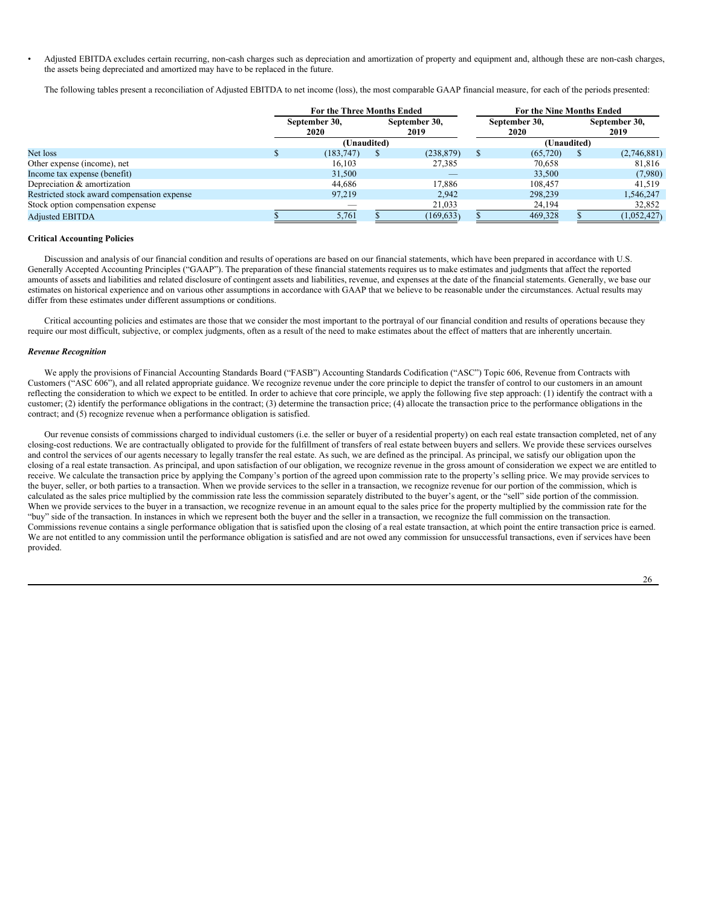• Adjusted EBITDA excludes certain recurring, non-cash charges such as depreciation and amortization of property and equipment and, although these are non-cash charges, the assets being depreciated and amortized may have to be replaced in the future.

The following tables present a reconciliation of Adjusted EBITDA to net income (loss), the most comparable GAAP financial measure, for each of the periods presented:

|                                             |  | For the Three Months Ended |  |            | For the Nine Months Ended |                       |  |                              |  |                       |
|---------------------------------------------|--|----------------------------|--|------------|---------------------------|-----------------------|--|------------------------------|--|-----------------------|
|                                             |  | September 30,<br>2020      |  |            |                           | September 30,<br>2019 |  | September 30,<br><b>2020</b> |  | September 30,<br>2019 |
|                                             |  | (Unaudited)                |  |            |                           | (Unaudited)           |  |                              |  |                       |
| Net loss                                    |  | (183, 747)                 |  | (238, 879) |                           | (65, 720)             |  | (2,746,881)                  |  |                       |
| Other expense (income), net                 |  | 16.103                     |  | 27,385     |                           | 70.658                |  | 81.816                       |  |                       |
| Income tax expense (benefit)                |  | 31,500                     |  |            |                           | 33,500                |  | (7,980)                      |  |                       |
| Depreciation & amortization                 |  | 44.686                     |  | 17.886     |                           | 108,457               |  | 41.519                       |  |                       |
| Restricted stock award compensation expense |  | 97.219                     |  | 2.942      |                           | 298,239               |  | 1,546,247                    |  |                       |
| Stock option compensation expense           |  |                            |  | 21,033     |                           | 24,194                |  | 32,852                       |  |                       |
| <b>Adjusted EBITDA</b>                      |  | 5,761                      |  | (169, 633) |                           | 469,328               |  | (1,052,427)                  |  |                       |

# **Critical Accounting Policies**

Discussion and analysis of our financial condition and results of operations are based on our financial statements, which have been prepared in accordance with U.S. Generally Accepted Accounting Principles ("GAAP"). The preparation of these financial statements requires us to make estimates and judgments that affect the reported amounts of assets and liabilities and related disclosure of contingent assets and liabilities, revenue, and expenses at the date of the financial statements. Generally, we base our estimates on historical experience and on various other assumptions in accordance with GAAP that we believe to be reasonable under the circumstances. Actual results may differ from these estimates under different assumptions or conditions.

Critical accounting policies and estimates are those that we consider the most important to the portrayal of our financial condition and results of operations because they require our most difficult, subjective, or complex judgments, often as a result of the need to make estimates about the effect of matters that are inherently uncertain.

# *Revenue Recognition*

We apply the provisions of Financial Accounting Standards Board ("FASB") Accounting Standards Codification ("ASC") Topic 606, Revenue from Contracts with Customers ("ASC 606"), and all related appropriate guidance. We recognize revenue under the core principle to depict the transfer of control to our customers in an amount reflecting the consideration to which we expect to be entitled. In order to achieve that core principle, we apply the following five step approach: (1) identify the contract with a customer; (2) identify the performance obligations in the contract; (3) determine the transaction price; (4) allocate the transaction price to the performance obligations in the contract; and (5) recognize revenue when a performance obligation is satisfied.

Our revenue consists of commissions charged to individual customers (i.e. the seller or buyer of a residential property) on each real estate transaction completed, net of any closing-cost reductions. We are contractually obligated to provide for the fulfillment of transfers of real estate between buyers and sellers. We provide these services ourselves and control the services of our agents necessary to legally transfer the real estate. As such, we are defined as the principal. As principal, we satisfy our obligation upon the closing of a real estate transaction. As principal, and upon satisfaction of our obligation, we recognize revenue in the gross amount of consideration we expect we are entitled to receive. We calculate the transaction price by applying the Company's portion of the agreed upon commission rate to the property's selling price. We may provide services to the buyer, seller, or both parties to a transaction. When we provide services to the seller in a transaction, we recognize revenue for our portion of the commission, which is calculated as the sales price multiplied by the commission rate less the commission separately distributed to the buyer's agent, or the "sell" side portion of the commission. When we provide services to the buyer in a transaction, we recognize revenue in an amount equal to the sales price for the property multiplied by the commission rate for the "buy" side of the transaction. In instances in which we represent both the buyer and the seller in a transaction, we recognize the full commission on the transaction. Commissions revenue contains a single performance obligation that is satisfied upon the closing of a real estate transaction, at which point the entire transaction price is earned. We are not entitled to any commission until the performance obligation is satisfied and are not owed any commission for unsuccessful transactions, even if services have been provided.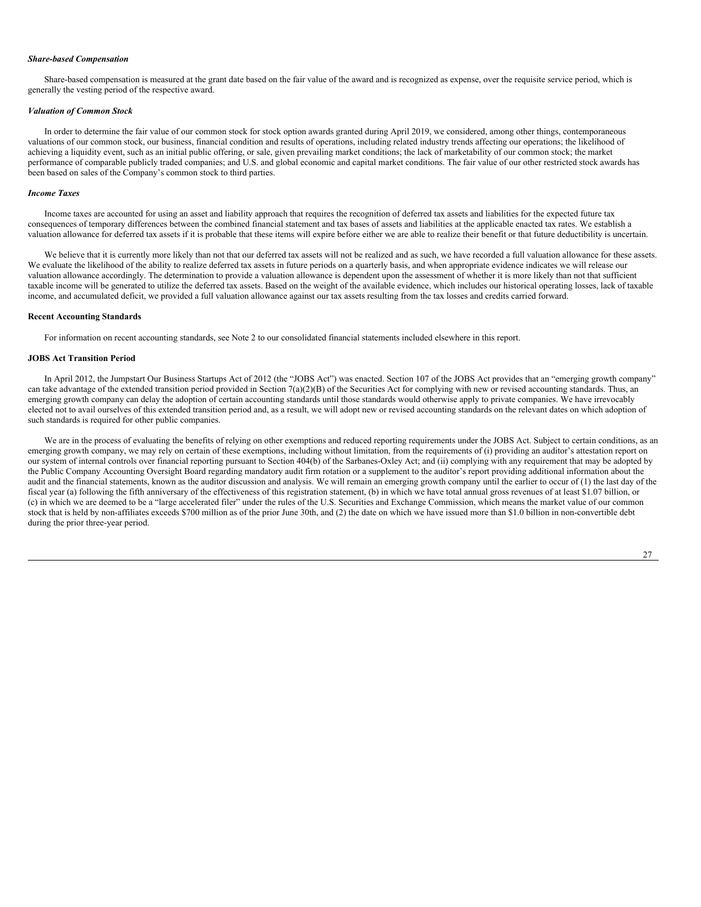#### *Share-based Compensation*

Share-based compensation is measured at the grant date based on the fair value of the award and is recognized as expense, over the requisite service period, which is generally the vesting period of the respective award.

#### *Valuation of Common Stock*

In order to determine the fair value of our common stock for stock option awards granted during April 2019, we considered, among other things, contemporaneous valuations of our common stock, our business, financial condition and results of operations, including related industry trends affecting our operations; the likelihood of achieving a liquidity event, such as an initial public offering, or sale, given prevailing market conditions; the lack of marketability of our common stock; the market performance of comparable publicly traded companies; and U.S. and global economic and capital market conditions. The fair value of our other restricted stock awards has been based on sales of the Company's common stock to third parties.

#### *Income Taxes*

Income taxes are accounted for using an asset and liability approach that requires the recognition of deferred tax assets and liabilities for the expected future tax consequences of temporary differences between the combined financial statement and tax bases of assets and liabilities at the applicable enacted tax rates. We establish a valuation allowance for deferred tax assets if it is probable that these items will expire before either we are able to realize their benefit or that future deductibility is uncertain.

We believe that it is currently more likely than not that our deferred tax assets will not be realized and as such, we have recorded a full valuation allowance for these assets. We evaluate the likelihood of the ability to realize deferred tax assets in future periods on a quarterly basis, and when appropriate evidence indicates we will release our valuation allowance accordingly. The determination to provide a valuation allowance is dependent upon the assessment of whether it is more likely than not that sufficient taxable income will be generated to utilize the deferred tax assets. Based on the weight of the available evidence, which includes our historical operating losses, lack of taxable income, and accumulated deficit, we provided a full valuation allowance against our tax assets resulting from the tax losses and credits carried forward.

#### **Recent Accounting Standards**

For information on recent accounting standards, see Note 2 to our consolidated financial statements included elsewhere in this report.

# **JOBS Act Transition Period**

In April 2012, the Jumpstart Our Business Startups Act of 2012 (the "JOBS Act") was enacted. Section 107 of the JOBS Act provides that an "emerging growth company" can take advantage of the extended transition period provided in Section 7(a)(2)(B) of the Securities Act for complying with new or revised accounting standards. Thus, an emerging growth company can delay the adoption of certain accounting standards until those standards would otherwise apply to private companies. We have irrevocably elected not to avail ourselves of this extended transition period and, as a result, we will adopt new or revised accounting standards on the relevant dates on which adoption of such standards is required for other public companies.

We are in the process of evaluating the benefits of relying on other exemptions and reduced reporting requirements under the JOBS Act. Subject to certain conditions, as an emerging growth company, we may rely on certain of these exemptions, including without limitation, from the requirements of (i) providing an auditor's attestation report on our system of internal controls over financial reporting pursuant to Section 404(b) of the Sarbanes-Oxley Act; and (ii) complying with any requirement that may be adopted by the Public Company Accounting Oversight Board regarding mandatory audit firm rotation or a supplement to the auditor's report providing additional information about the audit and the financial statements, known as the auditor discussion and analysis. We will remain an emerging growth company until the earlier to occur of (1) the last day of the fiscal year (a) following the fifth anniversary of the effectiveness of this registration statement, (b) in which we have total annual gross revenues of at least \$1.07 billion, or (c) in which we are deemed to be a "large accelerated filer" under the rules of the U.S. Securities and Exchange Commission, which means the market value of our common stock that is held by non-affiliates exceeds \$700 million as of the prior June 30th, and (2) the date on which we have issued more than \$1.0 billion in non-convertible debt during the prior three-year period.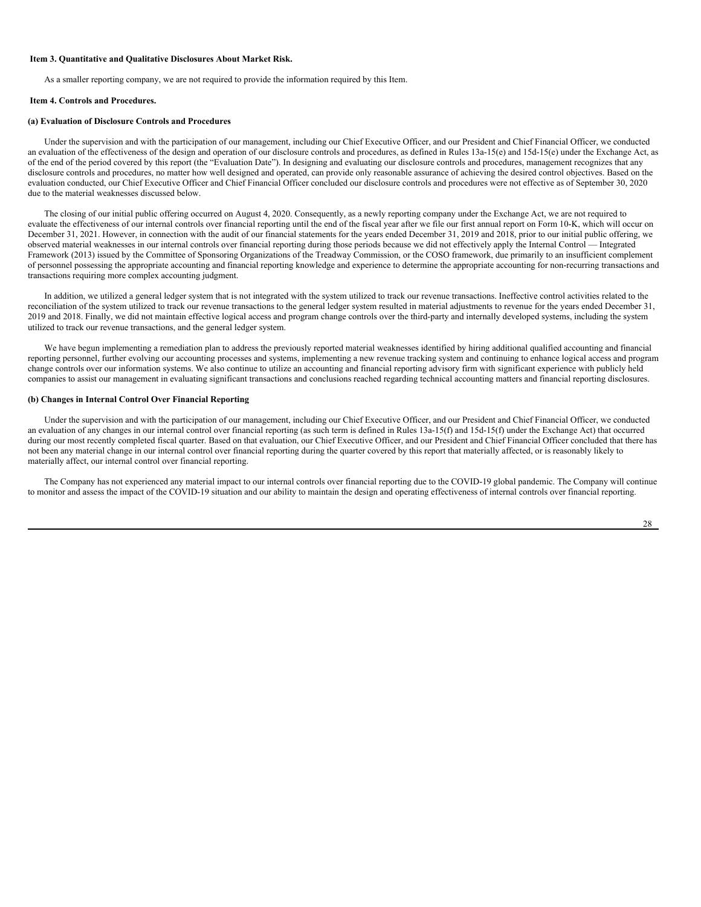#### <span id="page-28-0"></span>**Item 3. Quantitative and Qualitative Disclosures About Market Risk.**

As a smaller reporting company, we are not required to provide the information required by this Item.

### <span id="page-28-1"></span>**Item 4. Controls and Procedures.**

# **(a) Evaluation of Disclosure Controls and Procedures**

Under the supervision and with the participation of our management, including our Chief Executive Officer, and our President and Chief Financial Officer, we conducted an evaluation of the effectiveness of the design and operation of our disclosure controls and procedures, as defined in Rules 13a-15(e) and 15d-15(e) under the Exchange Act, as of the end of the period covered by this report (the "Evaluation Date"). In designing and evaluating our disclosure controls and procedures, management recognizes that any disclosure controls and procedures, no matter how well designed and operated, can provide only reasonable assurance of achieving the desired control objectives. Based on the evaluation conducted, our Chief Executive Officer and Chief Financial Officer concluded our disclosure controls and procedures were not effective as of September 30, 2020 due to the material weaknesses discussed below.

The closing of our initial public offering occurred on August 4, 2020. Consequently, as a newly reporting company under the Exchange Act, we are not required to evaluate the effectiveness of our internal controls over financial reporting until the end of the fiscal year after we file our first annual report on Form 10-K, which will occur on December 31, 2021. However, in connection with the audit of our financial statements for the years ended December 31, 2019 and 2018, prior to our initial public offering, we observed material weaknesses in our internal controls over financial reporting during those periods because we did not effectively apply the Internal Control — Integrated Framework (2013) issued by the Committee of Sponsoring Organizations of the Treadway Commission, or the COSO framework, due primarily to an insufficient complement of personnel possessing the appropriate accounting and financial reporting knowledge and experience to determine the appropriate accounting for non-recurring transactions and transactions requiring more complex accounting judgment.

In addition, we utilized a general ledger system that is not integrated with the system utilized to track our revenue transactions. Ineffective control activities related to the reconciliation of the system utilized to track our revenue transactions to the general ledger system resulted in material adjustments to revenue for the years ended December 31, 2019 and 2018. Finally, we did not maintain effective logical access and program change controls over the third-party and internally developed systems, including the system utilized to track our revenue transactions, and the general ledger system.

We have begun implementing a remediation plan to address the previously reported material weaknesses identified by hiring additional qualified accounting and financial reporting personnel, further evolving our accounting processes and systems, implementing a new revenue tracking system and continuing to enhance logical access and program change controls over our information systems. We also continue to utilize an accounting and financial reporting advisory firm with significant experience with publicly held companies to assist our management in evaluating significant transactions and conclusions reached regarding technical accounting matters and financial reporting disclosures.

### **(b) Changes in Internal Control Over Financial Reporting**

Under the supervision and with the participation of our management, including our Chief Executive Officer, and our President and Chief Financial Officer, we conducted an evaluation of any changes in our internal control over financial reporting (as such term is defined in Rules 13a-15(f) and 15d-15(f) under the Exchange Act) that occurred during our most recently completed fiscal quarter. Based on that evaluation, our Chief Executive Officer, and our President and Chief Financial Officer concluded that there has not been any material change in our internal control over financial reporting during the quarter covered by this report that materially affected, or is reasonably likely to materially affect, our internal control over financial reporting.

The Company has not experienced any material impact to our internal controls over financial reporting due to the COVID-19 global pandemic. The Company will continue to monitor and assess the impact of the COVID-19 situation and our ability to maintain the design and operating effectiveness of internal controls over financial reporting.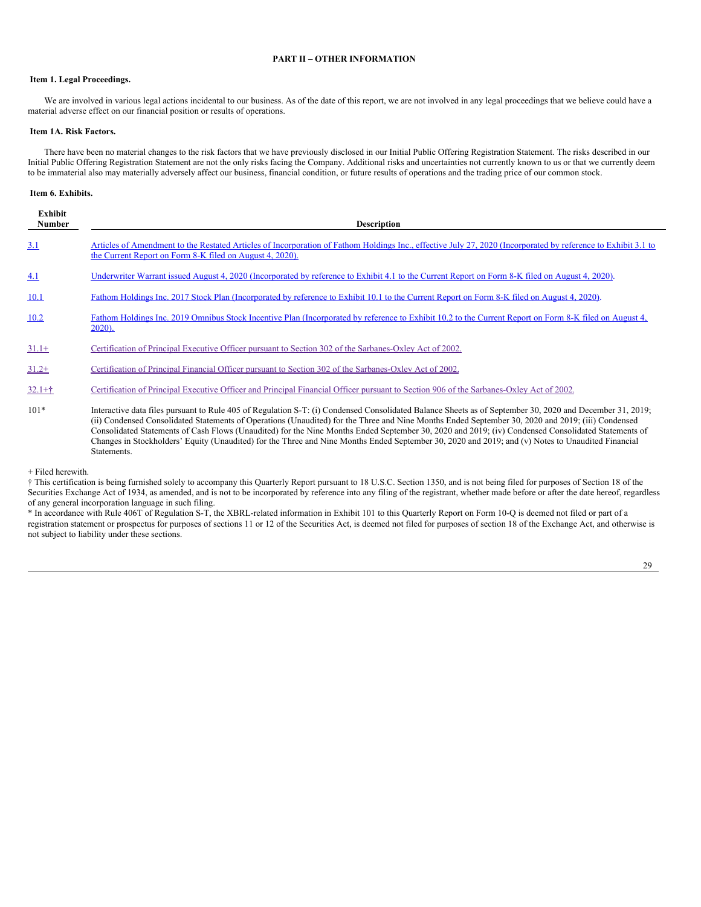# <span id="page-29-0"></span>**PART II – OTHER INFORMATION**

# <span id="page-29-1"></span>**Item 1. Legal Proceedings.**

We are involved in various legal actions incidental to our business. As of the date of this report, we are not involved in any legal proceedings that we believe could have a material adverse effect on our financial position or results of operations.

# <span id="page-29-2"></span>**Item 1A. Risk Factors.**

There have been no material changes to the risk factors that we have previously disclosed in our Initial Public Offering Registration Statement. The risks described in our Initial Public Offering Registration Statement are not the only risks facing the Company. Additional risks and uncertainties not currently known to us or that we currently deem to be immaterial also may materially adversely affect our business, financial condition, or future results of operations and the trading price of our common stock.

### <span id="page-29-3"></span>**Item 6. Exhibits.**

| <b>Exhibit</b><br><b>Number</b> | <b>Description</b>                                                                                                                                                                                                                                                                                                                                                                                                                                                                                                                                                                                                                      |
|---------------------------------|-----------------------------------------------------------------------------------------------------------------------------------------------------------------------------------------------------------------------------------------------------------------------------------------------------------------------------------------------------------------------------------------------------------------------------------------------------------------------------------------------------------------------------------------------------------------------------------------------------------------------------------------|
| 3.1                             | Articles of Amendment to the Restated Articles of Incorporation of Fathom Holdings Inc., effective July 27, 2020 (Incorporated by reference to Exhibit 3.1 to<br>the Current Report on Form 8-K filed on August 4, 2020).                                                                                                                                                                                                                                                                                                                                                                                                               |
| 4.1                             | Underwriter Warrant issued August 4, 2020 (Incorporated by reference to Exhibit 4.1 to the Current Report on Form 8-K filed on August 4, 2020).                                                                                                                                                                                                                                                                                                                                                                                                                                                                                         |
| 10.1                            | Fathom Holdings Inc. 2017 Stock Plan (Incorporated by reference to Exhibit 10.1 to the Current Report on Form 8-K filed on August 4, 2020).                                                                                                                                                                                                                                                                                                                                                                                                                                                                                             |
| 10.2                            | Fathom Holdings Inc. 2019 Omnibus Stock Incentive Plan (Incorporated by reference to Exhibit 10.2 to the Current Report on Form 8-K filed on August 4,<br>$2020$ ).                                                                                                                                                                                                                                                                                                                                                                                                                                                                     |
| $31.1+$                         | Certification of Principal Executive Officer pursuant to Section 302 of the Sarbanes-Oxley Act of 2002.                                                                                                                                                                                                                                                                                                                                                                                                                                                                                                                                 |
| $31.2+$                         | Certification of Principal Financial Officer pursuant to Section 302 of the Sarbanes-Oxley Act of 2002.                                                                                                                                                                                                                                                                                                                                                                                                                                                                                                                                 |
| $32.1 + \dagger$                | Certification of Principal Executive Officer and Principal Financial Officer pursuant to Section 906 of the Sarbanes-Oxley Act of 2002.                                                                                                                                                                                                                                                                                                                                                                                                                                                                                                 |
| $101*$                          | Interactive data files pursuant to Rule 405 of Regulation S-T: (i) Condensed Consolidated Balance Sheets as of September 30, 2020 and December 31, 2019;<br>(ii) Condensed Consolidated Statements of Operations (Unaudited) for the Three and Nine Months Ended September 30, 2020 and 2019; (iii) Condensed<br>Consolidated Statements of Cash Flows (Unaudited) for the Nine Months Ended September 30, 2020 and 2019; (iv) Condensed Consolidated Statements of<br>Changes in Stockholders' Equity (Unaudited) for the Three and Nine Months Ended September 30, 2020 and 2019; and (v) Notes to Unaudited Financial<br>Statements. |

+ Filed herewith.

† This certification is being furnished solely to accompany this Quarterly Report pursuant to 18 U.S.C. Section 1350, and is not being filed for purposes of Section 18 of the Securities Exchange Act of 1934, as amended, and is not to be incorporated by reference into any filing of the registrant, whether made before or after the date hereof, regardless of any general incorporation language in such filing.

\* In accordance with Rule 406T of Regulation S-T, the XBRL-related information in Exhibit 101 to this Quarterly Report on Form 10-Q is deemed not filed or part of a registration statement or prospectus for purposes of sections 11 or 12 of the Securities Act, is deemed not filed for purposes of section 18 of the Exchange Act, and otherwise is not subject to liability under these sections.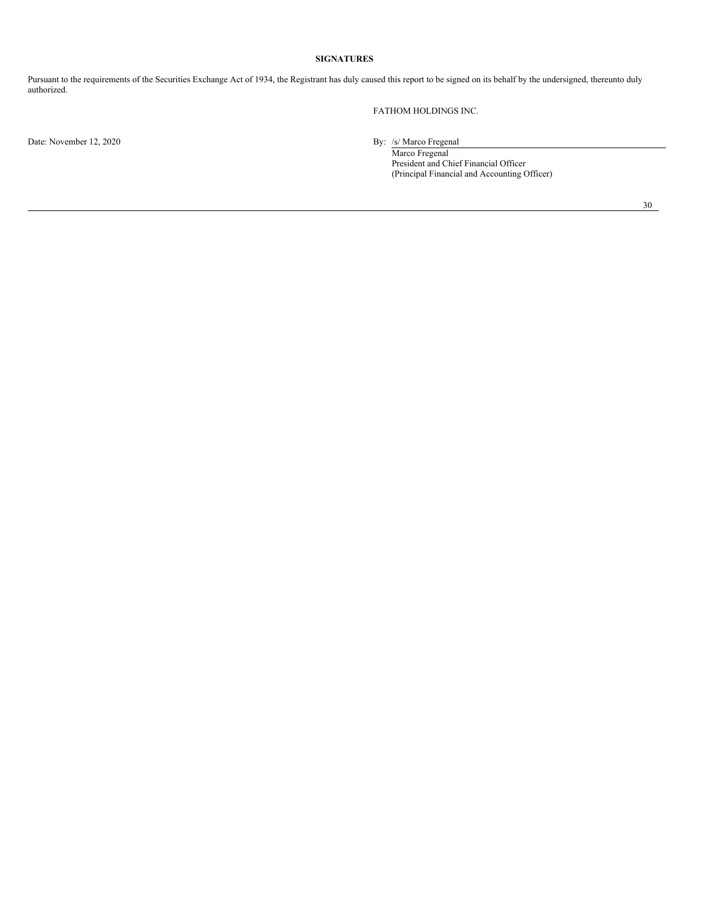# <span id="page-30-0"></span>**SIGNATURES**

Pursuant to the requirements of the Securities Exchange Act of 1934, the Registrant has duly caused this report to be signed on its behalf by the undersigned, thereunto duly authorized.

FATHOM HOLDINGS INC.

Date: November 12, 2020 By: /s/ Marco Fregenal

Marco Fregenal President and Chief Financial Officer (Principal Financial and Accounting Officer)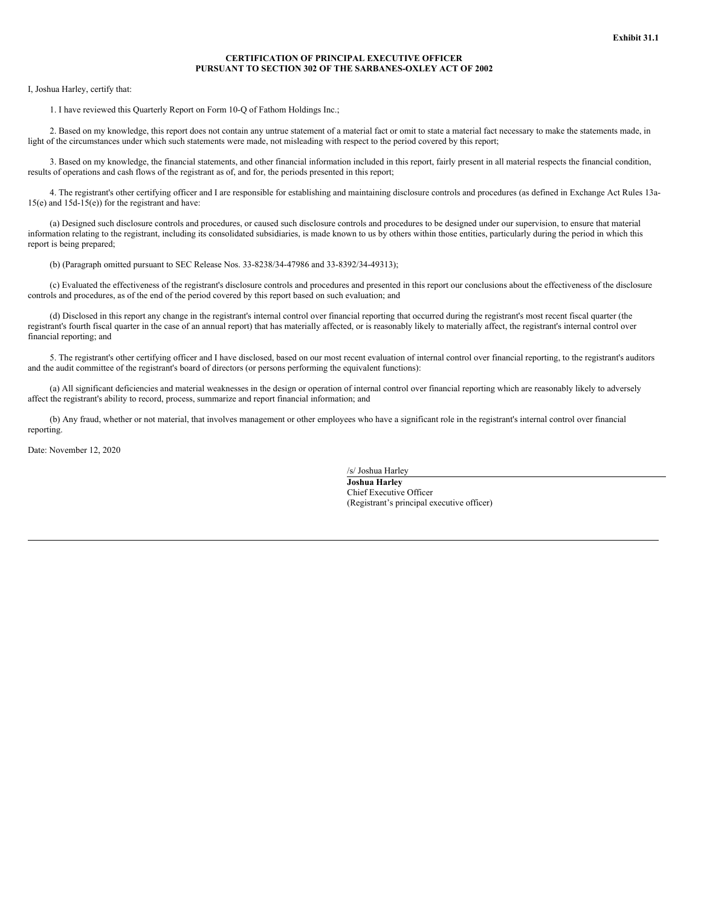# **CERTIFICATION OF PRINCIPAL EXECUTIVE OFFICER PURSUANT TO SECTION 302 OF THE SARBANES-OXLEY ACT OF 2002**

<span id="page-31-0"></span>I, Joshua Harley, certify that:

1. I have reviewed this Quarterly Report on Form 10-Q of Fathom Holdings Inc.;

2. Based on my knowledge, this report does not contain any untrue statement of a material fact or omit to state a material fact necessary to make the statements made, in light of the circumstances under which such statements were made, not misleading with respect to the period covered by this report;

3. Based on my knowledge, the financial statements, and other financial information included in this report, fairly present in all material respects the financial condition, results of operations and cash flows of the registrant as of, and for, the periods presented in this report;

4. The registrant's other certifying officer and I are responsible for establishing and maintaining disclosure controls and procedures (as defined in Exchange Act Rules 13a-15(e) and 15d-15(e)) for the registrant and have:

(a) Designed such disclosure controls and procedures, or caused such disclosure controls and procedures to be designed under our supervision, to ensure that material information relating to the registrant, including its consolidated subsidiaries, is made known to us by others within those entities, particularly during the period in which this report is being prepared;

(b) (Paragraph omitted pursuant to SEC Release Nos. 33-8238/34-47986 and 33-8392/34-49313);

(c) Evaluated the effectiveness of the registrant's disclosure controls and procedures and presented in this report our conclusions about the effectiveness of the disclosure controls and procedures, as of the end of the period covered by this report based on such evaluation; and

(d) Disclosed in this report any change in the registrant's internal control over financial reporting that occurred during the registrant's most recent fiscal quarter (the registrant's fourth fiscal quarter in the case of an annual report) that has materially affected, or is reasonably likely to materially affect, the registrant's internal control over financial reporting; and

5. The registrant's other certifying officer and I have disclosed, based on our most recent evaluation of internal control over financial reporting, to the registrant's auditors and the audit committee of the registrant's board of directors (or persons performing the equivalent functions):

(a) All significant deficiencies and material weaknesses in the design or operation of internal control over financial reporting which are reasonably likely to adversely affect the registrant's ability to record, process, summarize and report financial information; and

(b) Any fraud, whether or not material, that involves management or other employees who have a significant role in the registrant's internal control over financial reporting.

Date: November 12, 2020

/s/ Joshua Harley

**Joshua Harley** Chief Executive Officer (Registrant's principal executive officer)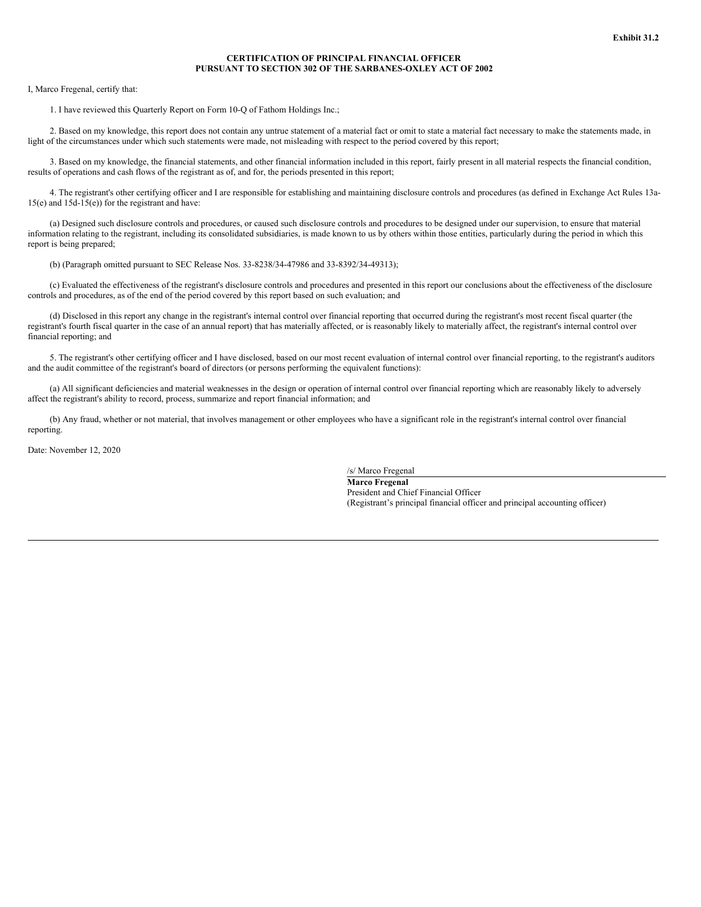# **CERTIFICATION OF PRINCIPAL FINANCIAL OFFICER PURSUANT TO SECTION 302 OF THE SARBANES-OXLEY ACT OF 2002**

<span id="page-32-0"></span>I, Marco Fregenal, certify that:

1. I have reviewed this Quarterly Report on Form 10-Q of Fathom Holdings Inc.;

2. Based on my knowledge, this report does not contain any untrue statement of a material fact or omit to state a material fact necessary to make the statements made, in light of the circumstances under which such statements were made, not misleading with respect to the period covered by this report;

3. Based on my knowledge, the financial statements, and other financial information included in this report, fairly present in all material respects the financial condition, results of operations and cash flows of the registrant as of, and for, the periods presented in this report;

4. The registrant's other certifying officer and I are responsible for establishing and maintaining disclosure controls and procedures (as defined in Exchange Act Rules 13a-15(e) and 15d-15(e)) for the registrant and have:

(a) Designed such disclosure controls and procedures, or caused such disclosure controls and procedures to be designed under our supervision, to ensure that material information relating to the registrant, including its consolidated subsidiaries, is made known to us by others within those entities, particularly during the period in which this report is being prepared;

(b) (Paragraph omitted pursuant to SEC Release Nos. 33-8238/34-47986 and 33-8392/34-49313);

(c) Evaluated the effectiveness of the registrant's disclosure controls and procedures and presented in this report our conclusions about the effectiveness of the disclosure controls and procedures, as of the end of the period covered by this report based on such evaluation; and

(d) Disclosed in this report any change in the registrant's internal control over financial reporting that occurred during the registrant's most recent fiscal quarter (the registrant's fourth fiscal quarter in the case of an annual report) that has materially affected, or is reasonably likely to materially affect, the registrant's internal control over financial reporting; and

5. The registrant's other certifying officer and I have disclosed, based on our most recent evaluation of internal control over financial reporting, to the registrant's auditors and the audit committee of the registrant's board of directors (or persons performing the equivalent functions):

(a) All significant deficiencies and material weaknesses in the design or operation of internal control over financial reporting which are reasonably likely to adversely affect the registrant's ability to record, process, summarize and report financial information; and

(b) Any fraud, whether or not material, that involves management or other employees who have a significant role in the registrant's internal control over financial reporting.

Date: November 12, 2020

/s/ Marco Fregenal

**Marco Fregenal** President and Chief Financial Officer (Registrant's principal financial officer and principal accounting officer)